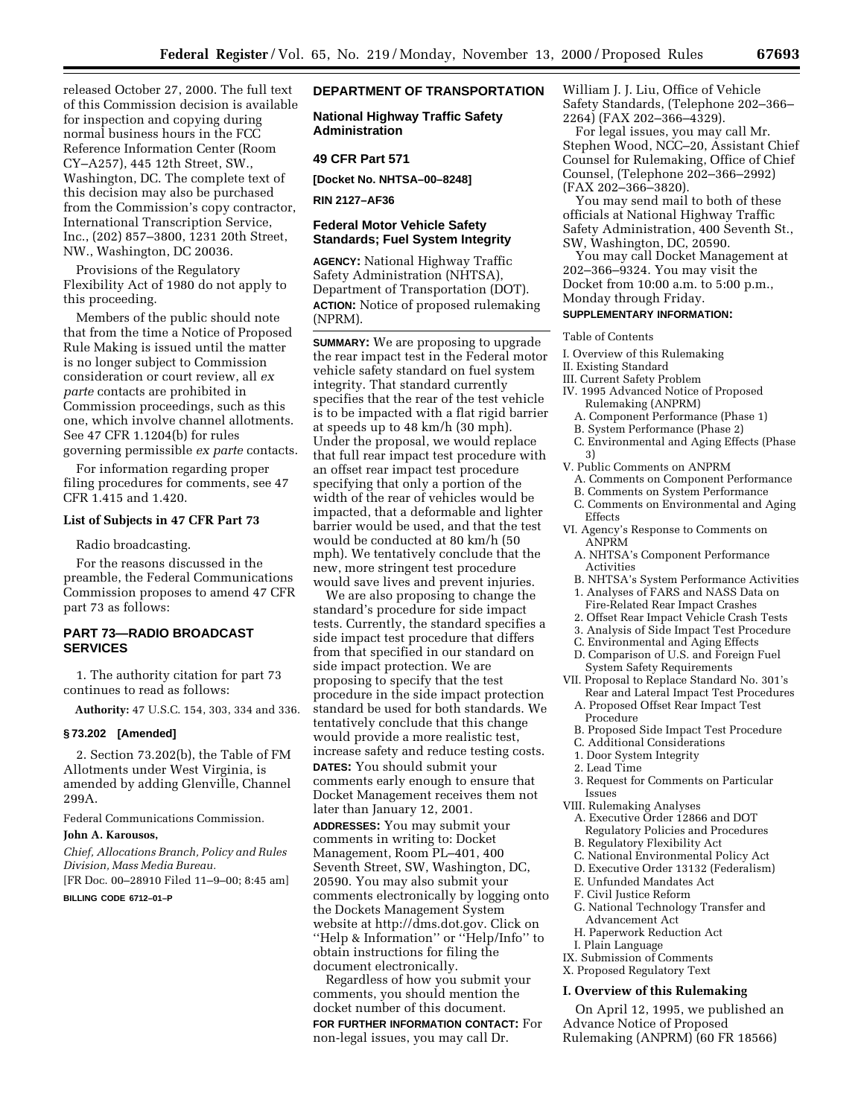released October 27, 2000. The full text of this Commission decision is available for inspection and copying during normal business hours in the FCC Reference Information Center (Room CY–A257), 445 12th Street, SW., Washington, DC. The complete text of this decision may also be purchased from the Commission's copy contractor, International Transcription Service, Inc., (202) 857–3800, 1231 20th Street, NW., Washington, DC 20036.

Provisions of the Regulatory Flexibility Act of 1980 do not apply to this proceeding.

Members of the public should note that from the time a Notice of Proposed Rule Making is issued until the matter is no longer subject to Commission consideration or court review, all *ex parte* contacts are prohibited in Commission proceedings, such as this one, which involve channel allotments. See 47 CFR 1.1204(b) for rules governing permissible *ex parte* contacts.

For information regarding proper filing procedures for comments, see 47 CFR 1.415 and 1.420.

### **List of Subjects in 47 CFR Part 73**

Radio broadcasting.

For the reasons discussed in the preamble, the Federal Communications Commission proposes to amend 47 CFR part 73 as follows:

# **PART 73—RADIO BROADCAST SERVICES**

1. The authority citation for part 73 continues to read as follows:

**Authority:** 47 U.S.C. 154, 303, 334 and 336.

#### **§ 73.202 [Amended]**

2. Section 73.202(b), the Table of FM Allotments under West Virginia, is amended by adding Glenville, Channel 299A.

Federal Communications Commission.

### **John A. Karousos,**

*Chief, Allocations Branch, Policy and Rules Division, Mass Media Bureau.*

[FR Doc. 00–28910 Filed 11–9–00; 8:45 am]

# **BILLING CODE 6712–01–P**

# **DEPARTMENT OF TRANSPORTATION**

**National Highway Traffic Safety Administration**

## **49 CFR Part 571**

**[Docket No. NHTSA–00–8248]**

**RIN 2127–AF36**

## **Federal Motor Vehicle Safety Standards; Fuel System Integrity**

**AGENCY:** National Highway Traffic Safety Administration (NHTSA), Department of Transportation (DOT). **ACTION:** Notice of proposed rulemaking (NPRM).

**SUMMARY:** We are proposing to upgrade the rear impact test in the Federal motor vehicle safety standard on fuel system integrity. That standard currently specifies that the rear of the test vehicle is to be impacted with a flat rigid barrier at speeds up to 48 km/h (30 mph). Under the proposal, we would replace that full rear impact test procedure with an offset rear impact test procedure specifying that only a portion of the width of the rear of vehicles would be impacted, that a deformable and lighter barrier would be used, and that the test would be conducted at 80 km/h (50 mph). We tentatively conclude that the new, more stringent test procedure would save lives and prevent injuries.

We are also proposing to change the standard's procedure for side impact tests. Currently, the standard specifies a side impact test procedure that differs from that specified in our standard on side impact protection. We are proposing to specify that the test procedure in the side impact protection standard be used for both standards. We tentatively conclude that this change would provide a more realistic test, increase safety and reduce testing costs. **DATES:** You should submit your comments early enough to ensure that Docket Management receives them not later than January 12, 2001.

**ADDRESSES:** You may submit your comments in writing to: Docket Management, Room PL–401, 400 Seventh Street, SW, Washington, DC, 20590. You may also submit your comments electronically by logging onto the Dockets Management System website at http://dms.dot.gov. Click on ''Help & Information'' or ''Help/Info'' to obtain instructions for filing the document electronically.

Regardless of how you submit your comments, you should mention the docket number of this document. **FOR FURTHER INFORMATION CONTACT:** For non-legal issues, you may call Dr.

William J. J. Liu, Office of Vehicle Safety Standards, (Telephone 202–366– 2264) (FAX 202–366–4329).

For legal issues, you may call Mr. Stephen Wood, NCC–20, Assistant Chief Counsel for Rulemaking, Office of Chief Counsel, (Telephone 202–366–2992) (FAX 202–366–3820).

You may send mail to both of these officials at National Highway Traffic Safety Administration, 400 Seventh St., SW, Washington, DC, 20590.

You may call Docket Management at 202–366–9324. You may visit the Docket from 10:00 a.m. to 5:00 p.m., Monday through Friday.

# **SUPPLEMENTARY INFORMATION:**

Table of Contents

I. Overview of this Rulemaking

II. Existing Standard

- III. Current Safety Problem
- IV. 1995 Advanced Notice of Proposed Rulemaking (ANPRM)
	- A. Component Performance (Phase 1)
	- B. System Performance (Phase 2)
	- C. Environmental and Aging Effects (Phase 3)
- V. Public Comments on ANPRM
- A. Comments on Component Performance
- B. Comments on System Performance
- C. Comments on Environmental and Aging
- Effects VI. Agency's Response to Comments on
	- ANPRM A. NHTSA's Component Performance Activities
	- B. NHTSA's System Performance Activities 1. Analyses of FARS and NASS Data on
	- Fire-Related Rear Impact Crashes
	- 2. Offset Rear Impact Vehicle Crash Tests
	- 3. Analysis of Side Impact Test Procedure
	- C. Environmental and Aging Effects
	- D. Comparison of U.S. and Foreign Fuel System Safety Requirements
- VII. Proposal to Replace Standard No. 301's Rear and Lateral Impact Test Procedures
	- A. Proposed Offset Rear Impact Test Procedure
	- B. Proposed Side Impact Test Procedure
	- C. Additional Considerations
	- 1. Door System Integrity
- 2. Lead Time
- 3. Request for Comments on Particular Issues
- VIII. Rulemaking Analyses
	- A. Executive Order 12866 and DOT Regulatory Policies and Procedures
	- B. Regulatory Flexibility Act
	- C. National Environmental Policy Act
	- D. Executive Order 13132 (Federalism)
	- E. Unfunded Mandates Act
	- F. Civil Justice Reform
	- G. National Technology Transfer and Advancement Act
	- H. Paperwork Reduction Act
- I. Plain Language
- IX. Submission of Comments
- X. Proposed Regulatory Text

### **I. Overview of this Rulemaking**

On April 12, 1995, we published an Advance Notice of Proposed Rulemaking (ANPRM) (60 FR 18566)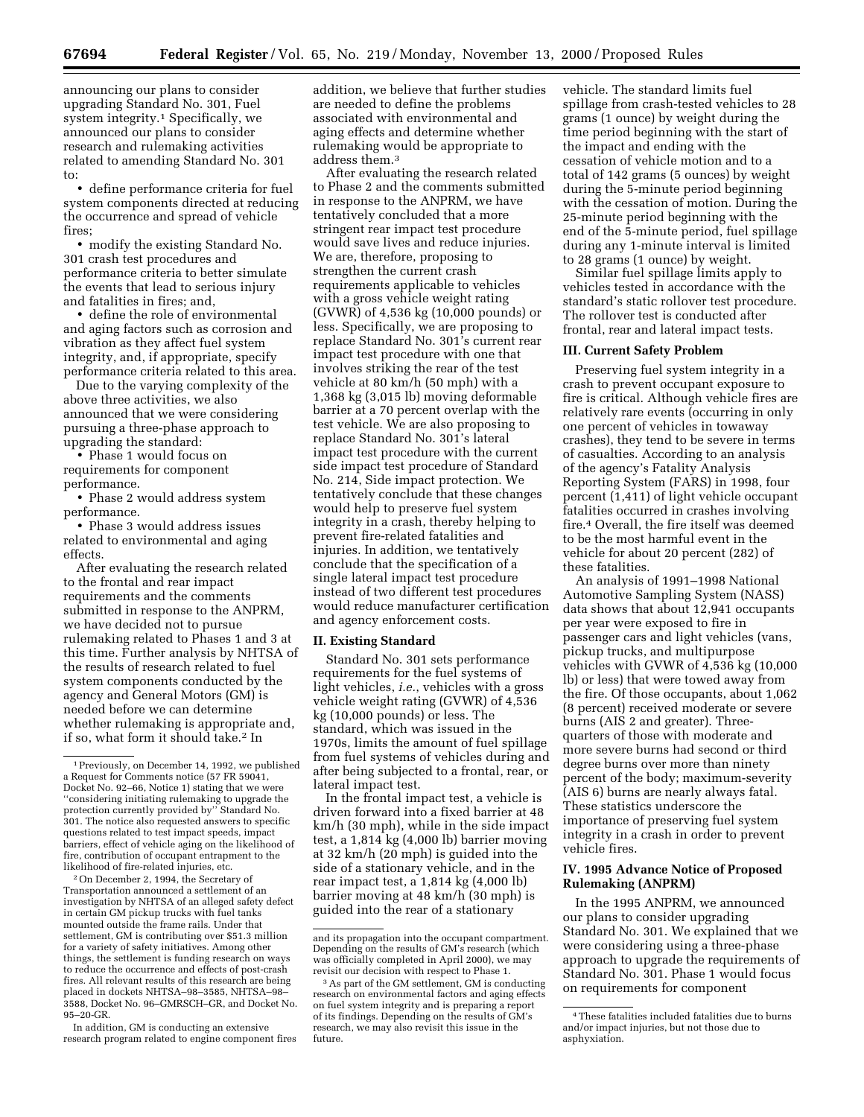announcing our plans to consider upgrading Standard No. 301, Fuel system integrity.<sup>1</sup> Specifically, we announced our plans to consider research and rulemaking activities related to amending Standard No. 301 to:

• define performance criteria for fuel system components directed at reducing the occurrence and spread of vehicle fires;

• modify the existing Standard No. 301 crash test procedures and performance criteria to better simulate the events that lead to serious injury and fatalities in fires; and,

• define the role of environmental and aging factors such as corrosion and vibration as they affect fuel system integrity, and, if appropriate, specify performance criteria related to this area.

Due to the varying complexity of the above three activities, we also announced that we were considering pursuing a three-phase approach to upgrading the standard:

• Phase 1 would focus on requirements for component performance.

• Phase 2 would address system performance.

• Phase 3 would address issues related to environmental and aging effects.

After evaluating the research related to the frontal and rear impact requirements and the comments submitted in response to the ANPRM, we have decided not to pursue rulemaking related to Phases 1 and 3 at this time. Further analysis by NHTSA of the results of research related to fuel system components conducted by the agency and General Motors (GM) is needed before we can determine whether rulemaking is appropriate and, if so, what form it should take.<sup>2</sup> In

2On December 2, 1994, the Secretary of Transportation announced a settlement of an investigation by NHTSA of an alleged safety defect in certain GM pickup trucks with fuel tanks mounted outside the frame rails. Under that settlement, GM is contributing over \$51.3 million for a variety of safety initiatives. Among other things, the settlement is funding research on ways to reduce the occurrence and effects of post-crash fires. All relevant results of this research are being placed in dockets NHTSA–98–3585, NHTSA–98– 3588, Docket No. 96–GMRSCH–GR, and Docket No. 95–20-GR.

In addition, GM is conducting an extensive research program related to engine component fires

addition, we believe that further studies are needed to define the problems associated with environmental and aging effects and determine whether rulemaking would be appropriate to address them.3

After evaluating the research related to Phase 2 and the comments submitted in response to the ANPRM, we have tentatively concluded that a more stringent rear impact test procedure would save lives and reduce injuries. We are, therefore, proposing to strengthen the current crash requirements applicable to vehicles with a gross vehicle weight rating (GVWR) of 4,536 kg (10,000 pounds) or less. Specifically, we are proposing to replace Standard No. 301's current rear impact test procedure with one that involves striking the rear of the test vehicle at 80 km/h (50 mph) with a 1,368 kg (3,015 lb) moving deformable barrier at a 70 percent overlap with the test vehicle. We are also proposing to replace Standard No. 301's lateral impact test procedure with the current side impact test procedure of Standard No. 214, Side impact protection. We tentatively conclude that these changes would help to preserve fuel system integrity in a crash, thereby helping to prevent fire-related fatalities and injuries. In addition, we tentatively conclude that the specification of a single lateral impact test procedure instead of two different test procedures would reduce manufacturer certification and agency enforcement costs.

### **II. Existing Standard**

Standard No. 301 sets performance requirements for the fuel systems of light vehicles, *i.e.*, vehicles with a gross vehicle weight rating (GVWR) of 4,536 kg (10,000 pounds) or less. The standard, which was issued in the 1970s, limits the amount of fuel spillage from fuel systems of vehicles during and after being subjected to a frontal, rear, or lateral impact test.

In the frontal impact test, a vehicle is driven forward into a fixed barrier at 48 km/h (30 mph), while in the side impact test, a 1,814 kg (4,000 lb) barrier moving at 32 km/h (20 mph) is guided into the side of a stationary vehicle, and in the rear impact test, a 1,814 kg (4,000 lb) barrier moving at 48 km/h (30 mph) is guided into the rear of a stationary

vehicle. The standard limits fuel spillage from crash-tested vehicles to 28 grams (1 ounce) by weight during the time period beginning with the start of the impact and ending with the cessation of vehicle motion and to a total of 142 grams (5 ounces) by weight during the 5-minute period beginning with the cessation of motion. During the 25-minute period beginning with the end of the 5-minute period, fuel spillage during any 1-minute interval is limited to 28 grams (1 ounce) by weight.

Similar fuel spillage limits apply to vehicles tested in accordance with the standard's static rollover test procedure. The rollover test is conducted after frontal, rear and lateral impact tests.

### **III. Current Safety Problem**

Preserving fuel system integrity in a crash to prevent occupant exposure to fire is critical. Although vehicle fires are relatively rare events (occurring in only one percent of vehicles in towaway crashes), they tend to be severe in terms of casualties. According to an analysis of the agency's Fatality Analysis Reporting System (FARS) in 1998, four percent (1,411) of light vehicle occupant fatalities occurred in crashes involving fire.4 Overall, the fire itself was deemed to be the most harmful event in the vehicle for about 20 percent (282) of these fatalities.

An analysis of 1991–1998 National Automotive Sampling System (NASS) data shows that about 12,941 occupants per year were exposed to fire in passenger cars and light vehicles (vans, pickup trucks, and multipurpose vehicles with GVWR of 4,536 kg (10,000 lb) or less) that were towed away from the fire. Of those occupants, about 1,062 (8 percent) received moderate or severe burns (AIS 2 and greater). Threequarters of those with moderate and more severe burns had second or third degree burns over more than ninety percent of the body; maximum-severity (AIS 6) burns are nearly always fatal. These statistics underscore the importance of preserving fuel system integrity in a crash in order to prevent vehicle fires.

# **IV. 1995 Advance Notice of Proposed Rulemaking (ANPRM)**

In the 1995 ANPRM, we announced our plans to consider upgrading Standard No. 301. We explained that we were considering using a three-phase approach to upgrade the requirements of Standard No. 301. Phase 1 would focus on requirements for component

<sup>1</sup>Previously, on December 14, 1992, we published a Request for Comments notice (57 FR 59041, Docket No. 92–66, Notice 1) stating that we were ''considering initiating rulemaking to upgrade the protection currently provided by'' Standard No. 301. The notice also requested answers to specific questions related to test impact speeds, impact barriers, effect of vehicle aging on the likelihood of fire, contribution of occupant entrapment to the likelihood of fire-related injuries, etc.

and its propagation into the occupant compartment. Depending on the results of GM's research (which was officially completed in April 2000), we may revisit our decision with respect to Phase 1.

<sup>3</sup>As part of the GM settlement, GM is conducting research on environmental factors and aging effects on fuel system integrity and is preparing a report of its findings. Depending on the results of GM's research, we may also revisit this issue in the future.

<sup>4</sup>These fatalities included fatalities due to burns and/or impact injuries, but not those due to asphyxiation.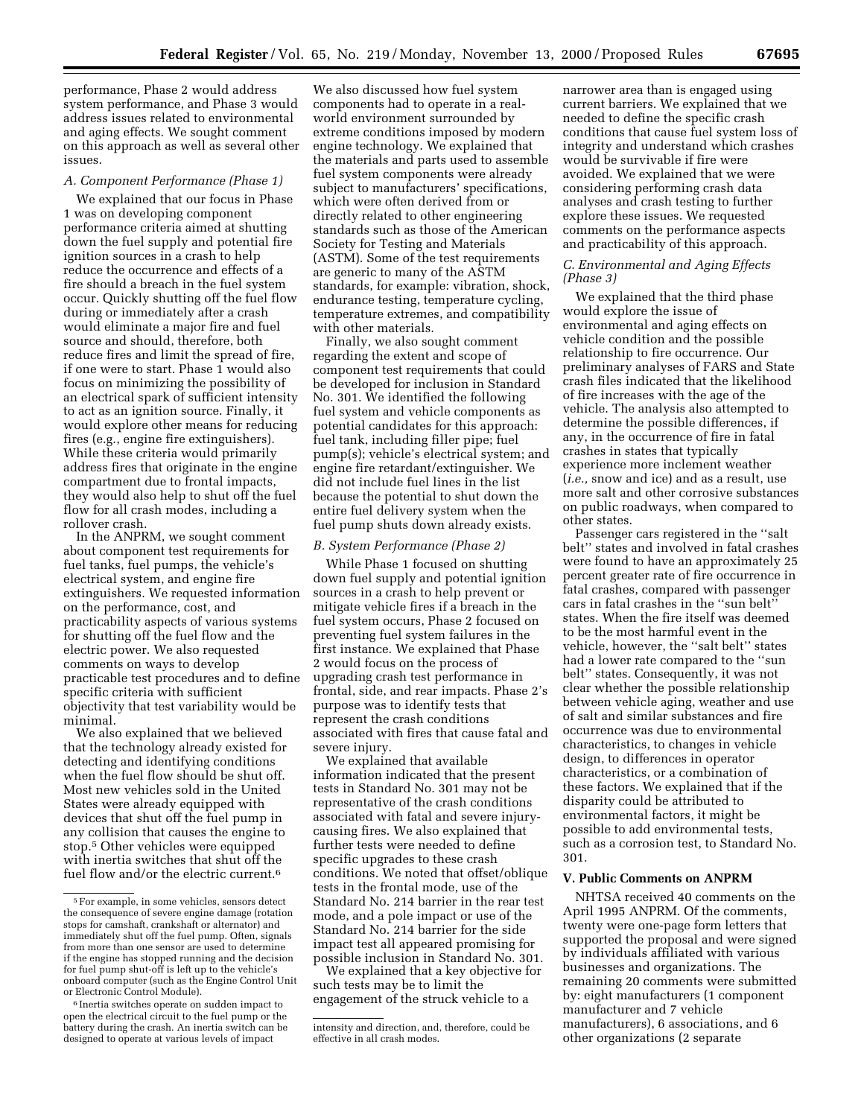performance, Phase 2 would address system performance, and Phase 3 would address issues related to environmental and aging effects. We sought comment on this approach as well as several other issues.

#### *A. Component Performance (Phase 1)*

We explained that our focus in Phase 1 was on developing component performance criteria aimed at shutting down the fuel supply and potential fire ignition sources in a crash to help reduce the occurrence and effects of a fire should a breach in the fuel system occur. Quickly shutting off the fuel flow during or immediately after a crash would eliminate a major fire and fuel source and should, therefore, both reduce fires and limit the spread of fire, if one were to start. Phase 1 would also focus on minimizing the possibility of an electrical spark of sufficient intensity to act as an ignition source. Finally, it would explore other means for reducing fires (e.g., engine fire extinguishers). While these criteria would primarily address fires that originate in the engine compartment due to frontal impacts, they would also help to shut off the fuel flow for all crash modes, including a rollover crash.

In the ANPRM, we sought comment about component test requirements for fuel tanks, fuel pumps, the vehicle's electrical system, and engine fire extinguishers. We requested information on the performance, cost, and practicability aspects of various systems for shutting off the fuel flow and the electric power. We also requested comments on ways to develop practicable test procedures and to define specific criteria with sufficient objectivity that test variability would be minimal.

We also explained that we believed that the technology already existed for detecting and identifying conditions when the fuel flow should be shut off. Most new vehicles sold in the United States were already equipped with devices that shut off the fuel pump in any collision that causes the engine to stop.5 Other vehicles were equipped with inertia switches that shut off the fuel flow and/or the electric current.6

We also discussed how fuel system components had to operate in a realworld environment surrounded by extreme conditions imposed by modern engine technology. We explained that the materials and parts used to assemble fuel system components were already subject to manufacturers' specifications, which were often derived from or directly related to other engineering standards such as those of the American Society for Testing and Materials (ASTM). Some of the test requirements are generic to many of the ASTM standards, for example: vibration, shock, endurance testing, temperature cycling, temperature extremes, and compatibility with other materials.

Finally, we also sought comment regarding the extent and scope of component test requirements that could be developed for inclusion in Standard No. 301. We identified the following fuel system and vehicle components as potential candidates for this approach: fuel tank, including filler pipe; fuel pump(s); vehicle's electrical system; and engine fire retardant/extinguisher. We did not include fuel lines in the list because the potential to shut down the entire fuel delivery system when the fuel pump shuts down already exists.

### *B. System Performance (Phase 2)*

While Phase 1 focused on shutting down fuel supply and potential ignition sources in a crash to help prevent or mitigate vehicle fires if a breach in the fuel system occurs, Phase 2 focused on preventing fuel system failures in the first instance. We explained that Phase 2 would focus on the process of upgrading crash test performance in frontal, side, and rear impacts. Phase 2's purpose was to identify tests that represent the crash conditions associated with fires that cause fatal and severe injury.

We explained that available information indicated that the present tests in Standard No. 301 may not be representative of the crash conditions associated with fatal and severe injurycausing fires. We also explained that further tests were needed to define specific upgrades to these crash conditions. We noted that offset/oblique tests in the frontal mode, use of the Standard No. 214 barrier in the rear test mode, and a pole impact or use of the Standard No. 214 barrier for the side impact test all appeared promising for possible inclusion in Standard No. 301.

We explained that a key objective for such tests may be to limit the engagement of the struck vehicle to a

narrower area than is engaged using current barriers. We explained that we needed to define the specific crash conditions that cause fuel system loss of integrity and understand which crashes would be survivable if fire were avoided. We explained that we were considering performing crash data analyses and crash testing to further explore these issues. We requested comments on the performance aspects and practicability of this approach.

## *C. Environmental and Aging Effects (Phase 3)*

We explained that the third phase would explore the issue of environmental and aging effects on vehicle condition and the possible relationship to fire occurrence. Our preliminary analyses of FARS and State crash files indicated that the likelihood of fire increases with the age of the vehicle. The analysis also attempted to determine the possible differences, if any, in the occurrence of fire in fatal crashes in states that typically experience more inclement weather (*i.e.,* snow and ice) and as a result, use more salt and other corrosive substances on public roadways, when compared to other states.

Passenger cars registered in the ''salt belt'' states and involved in fatal crashes were found to have an approximately 25 percent greater rate of fire occurrence in fatal crashes, compared with passenger cars in fatal crashes in the ''sun belt'' states. When the fire itself was deemed to be the most harmful event in the vehicle, however, the ''salt belt'' states had a lower rate compared to the ''sun belt'' states. Consequently, it was not clear whether the possible relationship between vehicle aging, weather and use of salt and similar substances and fire occurrence was due to environmental characteristics, to changes in vehicle design, to differences in operator characteristics, or a combination of these factors. We explained that if the disparity could be attributed to environmental factors, it might be possible to add environmental tests, such as a corrosion test, to Standard No. 301.

### **V. Public Comments on ANPRM**

NHTSA received 40 comments on the April 1995 ANPRM. Of the comments, twenty were one-page form letters that supported the proposal and were signed by individuals affiliated with various businesses and organizations. The remaining 20 comments were submitted by: eight manufacturers (1 component manufacturer and 7 vehicle manufacturers), 6 associations, and 6 other organizations (2 separate

<sup>5</sup>For example, in some vehicles, sensors detect the consequence of severe engine damage (rotation stops for camshaft, crankshaft or alternator) and immediately shut off the fuel pump. Often, signals from more than one sensor are used to determine if the engine has stopped running and the decision for fuel pump shut-off is left up to the vehicle's onboard computer (such as the Engine Control Unit or Electronic Control Module).

<sup>6</sup> Inertia switches operate on sudden impact to open the electrical circuit to the fuel pump or the battery during the crash. An inertia switch can be designed to operate at various levels of impact

intensity and direction, and, therefore, could be effective in all crash modes.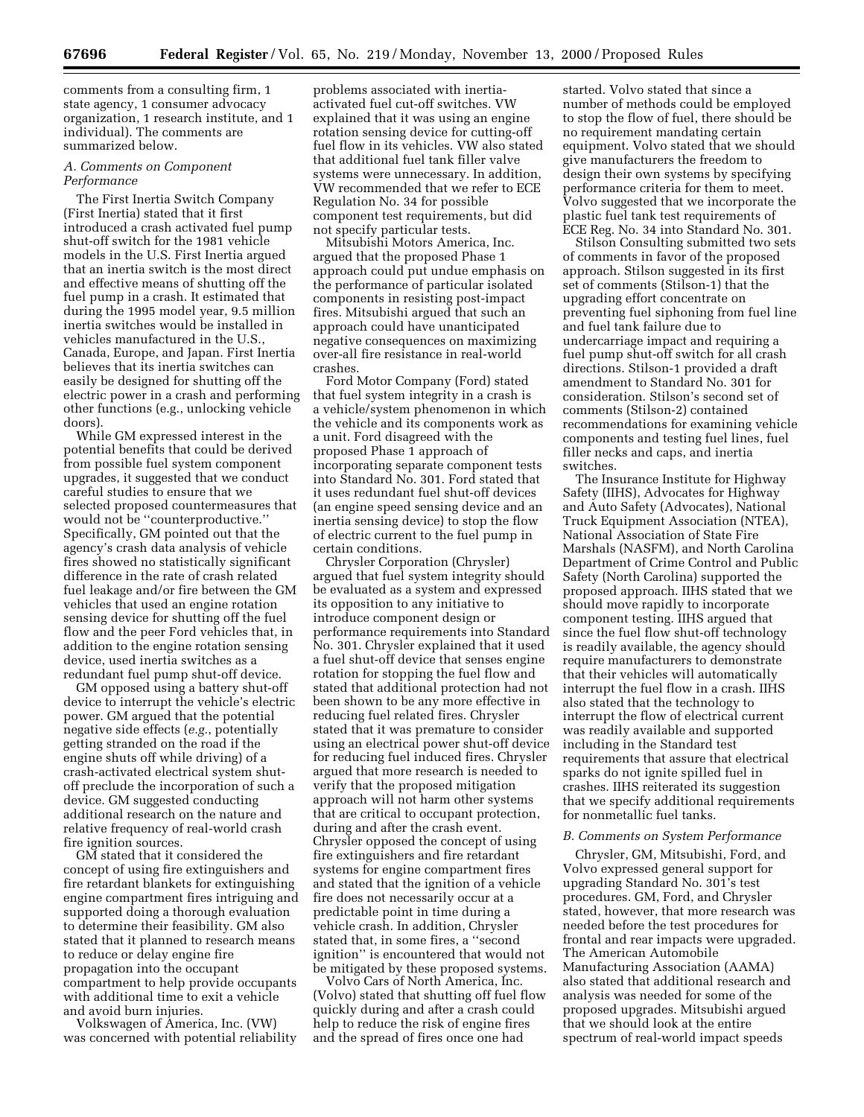comments from a consulting firm, 1 state agency, 1 consumer advocacy organization, 1 research institute, and 1 individual). The comments are summarized below.

### *A. Comments on Component Performance*

The First Inertia Switch Company (First Inertia) stated that it first introduced a crash activated fuel pump shut-off switch for the 1981 vehicle models in the U.S. First Inertia argued that an inertia switch is the most direct and effective means of shutting off the fuel pump in a crash. It estimated that during the 1995 model year, 9.5 million inertia switches would be installed in vehicles manufactured in the U.S., Canada, Europe, and Japan. First Inertia believes that its inertia switches can easily be designed for shutting off the electric power in a crash and performing other functions (e.g., unlocking vehicle doors).

While GM expressed interest in the potential benefits that could be derived from possible fuel system component upgrades, it suggested that we conduct careful studies to ensure that we selected proposed countermeasures that would not be ''counterproductive.'' Specifically, GM pointed out that the agency's crash data analysis of vehicle fires showed no statistically significant difference in the rate of crash related fuel leakage and/or fire between the GM vehicles that used an engine rotation sensing device for shutting off the fuel flow and the peer Ford vehicles that, in addition to the engine rotation sensing device, used inertia switches as a redundant fuel pump shut-off device.

GM opposed using a battery shut-off device to interrupt the vehicle's electric power. GM argued that the potential negative side effects (*e.g.*, potentially getting stranded on the road if the engine shuts off while driving) of a crash-activated electrical system shutoff preclude the incorporation of such a device. GM suggested conducting additional research on the nature and relative frequency of real-world crash fire ignition sources.

GM stated that it considered the concept of using fire extinguishers and fire retardant blankets for extinguishing engine compartment fires intriguing and supported doing a thorough evaluation to determine their feasibility. GM also stated that it planned to research means to reduce or delay engine fire propagation into the occupant compartment to help provide occupants with additional time to exit a vehicle and avoid burn injuries.

Volkswagen of America, Inc. (VW) was concerned with potential reliability

problems associated with inertiaactivated fuel cut-off switches. VW explained that it was using an engine rotation sensing device for cutting-off fuel flow in its vehicles. VW also stated that additional fuel tank filler valve systems were unnecessary. In addition, VW recommended that we refer to ECE Regulation No. 34 for possible component test requirements, but did not specify particular tests.

Mitsubishi Motors America, Inc. argued that the proposed Phase 1 approach could put undue emphasis on the performance of particular isolated components in resisting post-impact fires. Mitsubishi argued that such an approach could have unanticipated negative consequences on maximizing over-all fire resistance in real-world crashes.

Ford Motor Company (Ford) stated that fuel system integrity in a crash is a vehicle/system phenomenon in which the vehicle and its components work as a unit. Ford disagreed with the proposed Phase 1 approach of incorporating separate component tests into Standard No. 301. Ford stated that it uses redundant fuel shut-off devices (an engine speed sensing device and an inertia sensing device) to stop the flow of electric current to the fuel pump in certain conditions.

Chrysler Corporation (Chrysler) argued that fuel system integrity should be evaluated as a system and expressed its opposition to any initiative to introduce component design or performance requirements into Standard No. 301. Chrysler explained that it used a fuel shut-off device that senses engine rotation for stopping the fuel flow and stated that additional protection had not been shown to be any more effective in reducing fuel related fires. Chrysler stated that it was premature to consider using an electrical power shut-off device for reducing fuel induced fires. Chrysler argued that more research is needed to verify that the proposed mitigation approach will not harm other systems that are critical to occupant protection, during and after the crash event. Chrysler opposed the concept of using fire extinguishers and fire retardant systems for engine compartment fires and stated that the ignition of a vehicle fire does not necessarily occur at a predictable point in time during a vehicle crash. In addition, Chrysler stated that, in some fires, a ''second ignition'' is encountered that would not be mitigated by these proposed systems.

Volvo Cars of North America, Inc. (Volvo) stated that shutting off fuel flow quickly during and after a crash could help to reduce the risk of engine fires and the spread of fires once one had

started. Volvo stated that since a number of methods could be employed to stop the flow of fuel, there should be no requirement mandating certain equipment. Volvo stated that we should give manufacturers the freedom to design their own systems by specifying performance criteria for them to meet. Volvo suggested that we incorporate the plastic fuel tank test requirements of ECE Reg. No. 34 into Standard No. 301.

Stilson Consulting submitted two sets of comments in favor of the proposed approach. Stilson suggested in its first set of comments (Stilson-1) that the upgrading effort concentrate on preventing fuel siphoning from fuel line and fuel tank failure due to undercarriage impact and requiring a fuel pump shut-off switch for all crash directions. Stilson-1 provided a draft amendment to Standard No. 301 for consideration. Stilson's second set of comments (Stilson-2) contained recommendations for examining vehicle components and testing fuel lines, fuel filler necks and caps, and inertia switches.

The Insurance Institute for Highway Safety (IIHS), Advocates for Highway and Auto Safety (Advocates), National Truck Equipment Association (NTEA), National Association of State Fire Marshals (NASFM), and North Carolina Department of Crime Control and Public Safety (North Carolina) supported the proposed approach. IIHS stated that we should move rapidly to incorporate component testing. IIHS argued that since the fuel flow shut-off technology is readily available, the agency should require manufacturers to demonstrate that their vehicles will automatically interrupt the fuel flow in a crash. IIHS also stated that the technology to interrupt the flow of electrical current was readily available and supported including in the Standard test requirements that assure that electrical sparks do not ignite spilled fuel in crashes. IIHS reiterated its suggestion that we specify additional requirements for nonmetallic fuel tanks.

## *B. Comments on System Performance*

Chrysler, GM, Mitsubishi, Ford, and Volvo expressed general support for upgrading Standard No. 301's test procedures. GM, Ford, and Chrysler stated, however, that more research was needed before the test procedures for frontal and rear impacts were upgraded. The American Automobile Manufacturing Association (AAMA) also stated that additional research and analysis was needed for some of the proposed upgrades. Mitsubishi argued that we should look at the entire spectrum of real-world impact speeds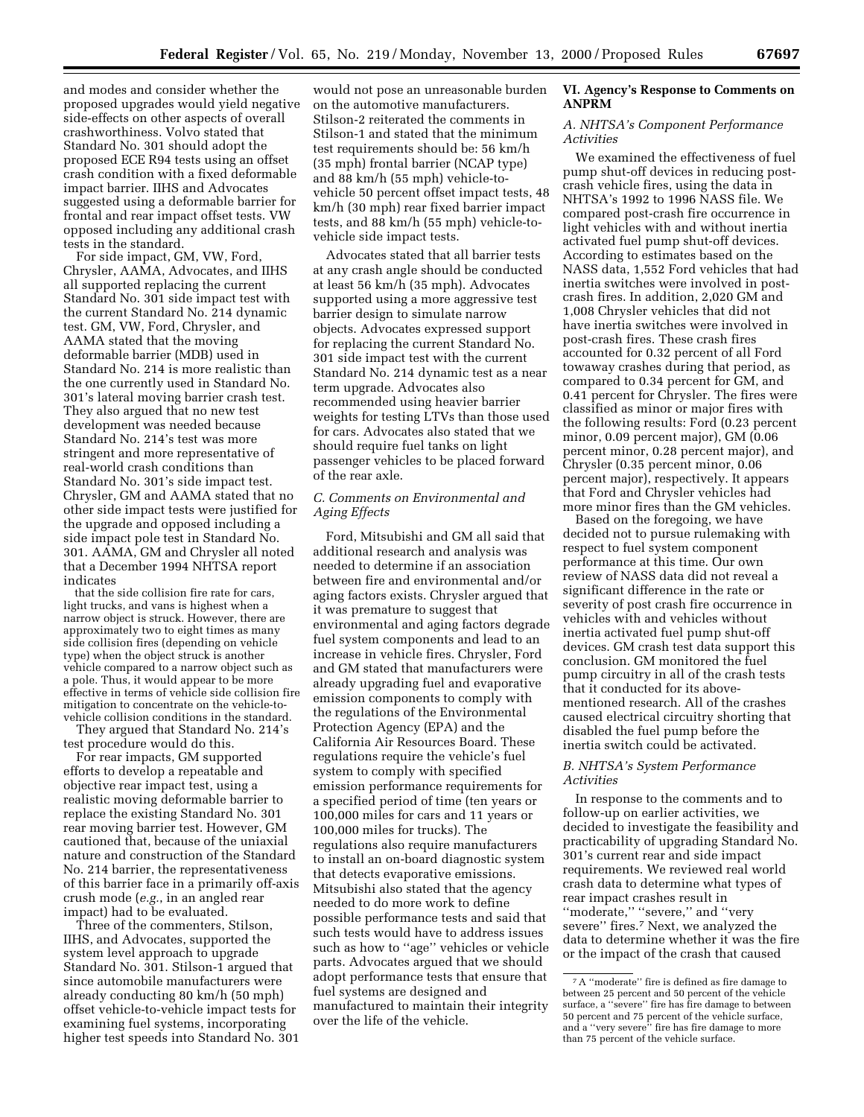and modes and consider whether the proposed upgrades would yield negative side-effects on other aspects of overall crashworthiness. Volvo stated that Standard No. 301 should adopt the proposed ECE R94 tests using an offset crash condition with a fixed deformable impact barrier. IIHS and Advocates suggested using a deformable barrier for frontal and rear impact offset tests. VW opposed including any additional crash tests in the standard.

For side impact, GM, VW, Ford, Chrysler, AAMA, Advocates, and IIHS all supported replacing the current Standard No. 301 side impact test with the current Standard No. 214 dynamic test. GM, VW, Ford, Chrysler, and AAMA stated that the moving deformable barrier (MDB) used in Standard No. 214 is more realistic than the one currently used in Standard No. 301's lateral moving barrier crash test. They also argued that no new test development was needed because Standard No. 214's test was more stringent and more representative of real-world crash conditions than Standard No. 301's side impact test. Chrysler, GM and AAMA stated that no other side impact tests were justified for the upgrade and opposed including a side impact pole test in Standard No. 301. AAMA, GM and Chrysler all noted that a December 1994 NHTSA report indicates

that the side collision fire rate for cars, light trucks, and vans is highest when a narrow object is struck. However, there are approximately two to eight times as many side collision fires (depending on vehicle type) when the object struck is another vehicle compared to a narrow object such as a pole. Thus, it would appear to be more effective in terms of vehicle side collision fire mitigation to concentrate on the vehicle-tovehicle collision conditions in the standard.

They argued that Standard No. 214's test procedure would do this.

For rear impacts, GM supported efforts to develop a repeatable and objective rear impact test, using a realistic moving deformable barrier to replace the existing Standard No. 301 rear moving barrier test. However, GM cautioned that, because of the uniaxial nature and construction of the Standard No. 214 barrier, the representativeness of this barrier face in a primarily off-axis crush mode (*e.g.*, in an angled rear impact) had to be evaluated.

Three of the commenters, Stilson, IIHS, and Advocates, supported the system level approach to upgrade Standard No. 301. Stilson-1 argued that since automobile manufacturers were already conducting 80 km/h (50 mph) offset vehicle-to-vehicle impact tests for examining fuel systems, incorporating higher test speeds into Standard No. 301

would not pose an unreasonable burden on the automotive manufacturers. Stilson-2 reiterated the comments in Stilson-1 and stated that the minimum test requirements should be: 56 km/h (35 mph) frontal barrier (NCAP type) and 88 km/h (55 mph) vehicle-tovehicle 50 percent offset impact tests, 48 km/h (30 mph) rear fixed barrier impact tests, and 88 km/h (55 mph) vehicle-tovehicle side impact tests.

Advocates stated that all barrier tests at any crash angle should be conducted at least 56 km/h (35 mph). Advocates supported using a more aggressive test barrier design to simulate narrow objects. Advocates expressed support for replacing the current Standard No. 301 side impact test with the current Standard No. 214 dynamic test as a near term upgrade. Advocates also recommended using heavier barrier weights for testing LTVs than those used for cars. Advocates also stated that we should require fuel tanks on light passenger vehicles to be placed forward of the rear axle.

# *C. Comments on Environmental and Aging Effects*

Ford, Mitsubishi and GM all said that additional research and analysis was needed to determine if an association between fire and environmental and/or aging factors exists. Chrysler argued that it was premature to suggest that environmental and aging factors degrade fuel system components and lead to an increase in vehicle fires. Chrysler, Ford and GM stated that manufacturers were already upgrading fuel and evaporative emission components to comply with the regulations of the Environmental Protection Agency (EPA) and the California Air Resources Board. These regulations require the vehicle's fuel system to comply with specified emission performance requirements for a specified period of time (ten years or 100,000 miles for cars and 11 years or 100,000 miles for trucks). The regulations also require manufacturers to install an on-board diagnostic system that detects evaporative emissions. Mitsubishi also stated that the agency needed to do more work to define possible performance tests and said that such tests would have to address issues such as how to ''age'' vehicles or vehicle parts. Advocates argued that we should adopt performance tests that ensure that fuel systems are designed and manufactured to maintain their integrity over the life of the vehicle.

# **VI. Agency's Response to Comments on ANPRM**

## *A. NHTSA's Component Performance Activities*

We examined the effectiveness of fuel pump shut-off devices in reducing postcrash vehicle fires, using the data in NHTSA's 1992 to 1996 NASS file. We compared post-crash fire occurrence in light vehicles with and without inertia activated fuel pump shut-off devices. According to estimates based on the NASS data, 1,552 Ford vehicles that had inertia switches were involved in postcrash fires. In addition, 2,020 GM and 1,008 Chrysler vehicles that did not have inertia switches were involved in post-crash fires. These crash fires accounted for 0.32 percent of all Ford towaway crashes during that period, as compared to 0.34 percent for GM, and 0.41 percent for Chrysler. The fires were classified as minor or major fires with the following results: Ford (0.23 percent minor, 0.09 percent major), GM (0.06 percent minor, 0.28 percent major), and Chrysler (0.35 percent minor, 0.06 percent major), respectively. It appears that Ford and Chrysler vehicles had more minor fires than the GM vehicles.

Based on the foregoing, we have decided not to pursue rulemaking with respect to fuel system component performance at this time. Our own review of NASS data did not reveal a significant difference in the rate or severity of post crash fire occurrence in vehicles with and vehicles without inertia activated fuel pump shut-off devices. GM crash test data support this conclusion. GM monitored the fuel pump circuitry in all of the crash tests that it conducted for its abovementioned research. All of the crashes caused electrical circuitry shorting that disabled the fuel pump before the inertia switch could be activated.

# *B. NHTSA's System Performance Activities*

In response to the comments and to follow-up on earlier activities, we decided to investigate the feasibility and practicability of upgrading Standard No. 301's current rear and side impact requirements. We reviewed real world crash data to determine what types of rear impact crashes result in ''moderate,'' ''severe,'' and ''very severe'' fires.7 Next, we analyzed the data to determine whether it was the fire or the impact of the crash that caused

<sup>7</sup>A ''moderate'' fire is defined as fire damage to between 25 percent and 50 percent of the vehicle surface, a ''severe'' fire has fire damage to between 50 percent and 75 percent of the vehicle surface, and a ''very severe'' fire has fire damage to more than 75 percent of the vehicle surface.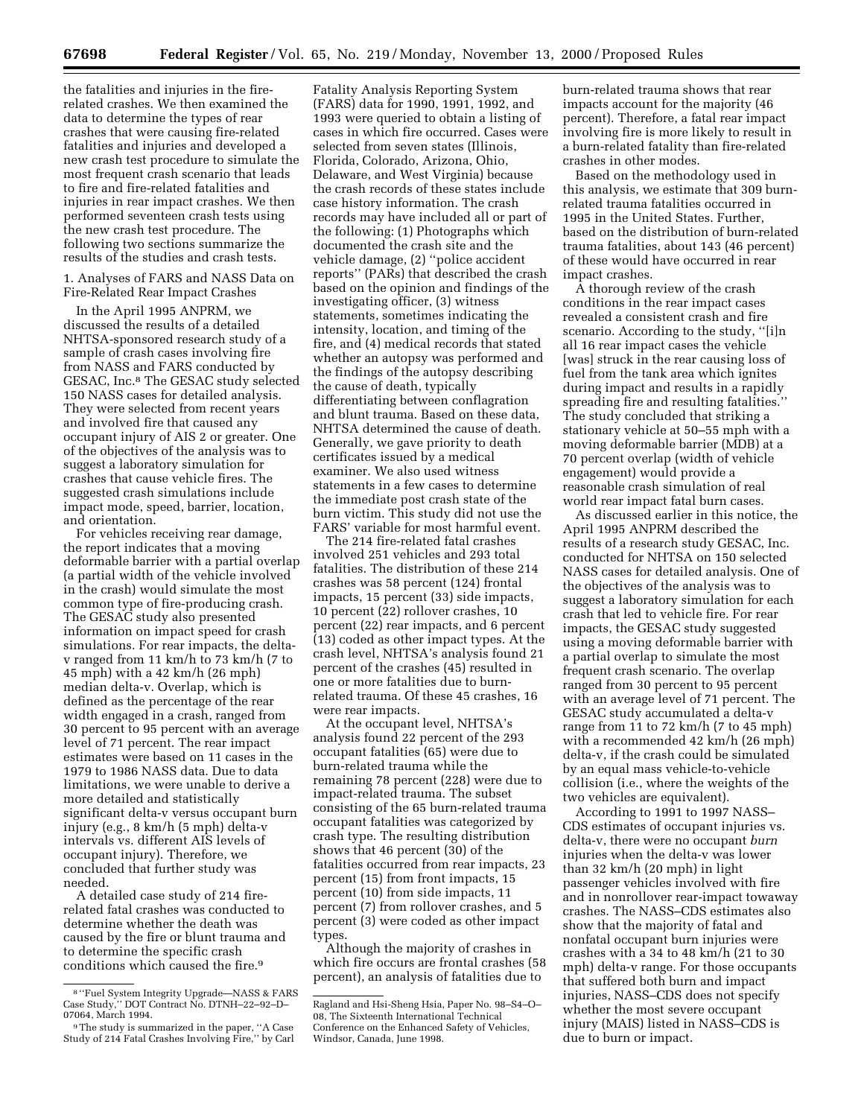the fatalities and injuries in the firerelated crashes. We then examined the data to determine the types of rear crashes that were causing fire-related fatalities and injuries and developed a new crash test procedure to simulate the most frequent crash scenario that leads to fire and fire-related fatalities and injuries in rear impact crashes. We then performed seventeen crash tests using the new crash test procedure. The following two sections summarize the results of the studies and crash tests.

1. Analyses of FARS and NASS Data on Fire-Related Rear Impact Crashes

In the April 1995 ANPRM, we discussed the results of a detailed NHTSA-sponsored research study of a sample of crash cases involving fire from NASS and FARS conducted by GESAC, Inc.8 The GESAC study selected 150 NASS cases for detailed analysis. They were selected from recent years and involved fire that caused any occupant injury of AIS 2 or greater. One of the objectives of the analysis was to suggest a laboratory simulation for crashes that cause vehicle fires. The suggested crash simulations include impact mode, speed, barrier, location, and orientation.

For vehicles receiving rear damage, the report indicates that a moving deformable barrier with a partial overlap (a partial width of the vehicle involved in the crash) would simulate the most common type of fire-producing crash. The GESAC study also presented information on impact speed for crash simulations. For rear impacts, the deltav ranged from 11 km/h to 73 km/h (7 to 45 mph) with a 42 km/h (26 mph) median delta-v. Overlap, which is defined as the percentage of the rear width engaged in a crash, ranged from 30 percent to 95 percent with an average level of 71 percent. The rear impact estimates were based on 11 cases in the 1979 to 1986 NASS data. Due to data limitations, we were unable to derive a more detailed and statistically significant delta-v versus occupant burn injury (e.g., 8 km/h (5 mph) delta-v intervals vs. different AIS levels of occupant injury). Therefore, we concluded that further study was needed.

A detailed case study of 214 firerelated fatal crashes was conducted to determine whether the death was caused by the fire or blunt trauma and to determine the specific crash conditions which caused the fire.9

Fatality Analysis Reporting System (FARS) data for 1990, 1991, 1992, and 1993 were queried to obtain a listing of cases in which fire occurred. Cases were selected from seven states (Illinois, Florida, Colorado, Arizona, Ohio, Delaware, and West Virginia) because the crash records of these states include case history information. The crash records may have included all or part of the following: (1) Photographs which documented the crash site and the vehicle damage, (2) ''police accident reports'' (PARs) that described the crash based on the opinion and findings of the investigating officer, (3) witness statements, sometimes indicating the intensity, location, and timing of the fire, and (4) medical records that stated whether an autopsy was performed and the findings of the autopsy describing the cause of death, typically differentiating between conflagration and blunt trauma. Based on these data, NHTSA determined the cause of death. Generally, we gave priority to death certificates issued by a medical examiner. We also used witness statements in a few cases to determine the immediate post crash state of the burn victim. This study did not use the FARS' variable for most harmful event.

The 214 fire-related fatal crashes involved 251 vehicles and 293 total fatalities. The distribution of these 214 crashes was 58 percent (124) frontal impacts, 15 percent (33) side impacts, 10 percent (22) rollover crashes, 10 percent (22) rear impacts, and 6 percent (13) coded as other impact types. At the crash level, NHTSA's analysis found 21 percent of the crashes (45) resulted in one or more fatalities due to burnrelated trauma. Of these 45 crashes, 16 were rear impacts.

At the occupant level, NHTSA's analysis found 22 percent of the 293 occupant fatalities (65) were due to burn-related trauma while the remaining 78 percent (228) were due to impact-related trauma. The subset consisting of the 65 burn-related trauma occupant fatalities was categorized by crash type. The resulting distribution shows that 46 percent (30) of the fatalities occurred from rear impacts, 23 percent (15) from front impacts, 15 percent (10) from side impacts, 11 percent (7) from rollover crashes, and 5 percent (3) were coded as other impact types.

Although the majority of crashes in which fire occurs are frontal crashes (58 percent), an analysis of fatalities due to

burn-related trauma shows that rear impacts account for the majority (46 percent). Therefore, a fatal rear impact involving fire is more likely to result in a burn-related fatality than fire-related crashes in other modes.

Based on the methodology used in this analysis, we estimate that 309 burnrelated trauma fatalities occurred in 1995 in the United States. Further, based on the distribution of burn-related trauma fatalities, about 143 (46 percent) of these would have occurred in rear impact crashes.

A thorough review of the crash conditions in the rear impact cases revealed a consistent crash and fire scenario. According to the study, ''[i]n all 16 rear impact cases the vehicle [was] struck in the rear causing loss of fuel from the tank area which ignites during impact and results in a rapidly spreading fire and resulting fatalities.'' The study concluded that striking a stationary vehicle at 50–55 mph with a moving deformable barrier (MDB) at a 70 percent overlap (width of vehicle engagement) would provide a reasonable crash simulation of real world rear impact fatal burn cases.

As discussed earlier in this notice, the April 1995 ANPRM described the results of a research study GESAC, Inc. conducted for NHTSA on 150 selected NASS cases for detailed analysis. One of the objectives of the analysis was to suggest a laboratory simulation for each crash that led to vehicle fire. For rear impacts, the GESAC study suggested using a moving deformable barrier with a partial overlap to simulate the most frequent crash scenario. The overlap ranged from 30 percent to 95 percent with an average level of 71 percent. The GESAC study accumulated a delta-v range from 11 to 72 km/h (7 to 45 mph) with a recommended 42 km/h (26 mph) delta-v, if the crash could be simulated by an equal mass vehicle-to-vehicle collision (i.e., where the weights of the two vehicles are equivalent).

According to 1991 to 1997 NASS– CDS estimates of occupant injuries vs. delta-v, there were no occupant *burn* injuries when the delta-v was lower than 32 km/h (20 mph) in light passenger vehicles involved with fire and in nonrollover rear-impact towaway crashes. The NASS–CDS estimates also show that the majority of fatal and nonfatal occupant burn injuries were crashes with a 34 to 48 km/h (21 to 30 mph) delta-v range. For those occupants that suffered both burn and impact injuries, NASS–CDS does not specify whether the most severe occupant injury (MAIS) listed in NASS–CDS is due to burn or impact.

<sup>8</sup> ''Fuel System Integrity Upgrade—NASS & FARS Case Study,'' DOT Contract No. DTNH–22–92–D– 07064, March 1994.

<sup>9</sup>The study is summarized in the paper, ''A Case Study of 214 Fatal Crashes Involving Fire,'' by Carl

Ragland and Hsi-Sheng Hsia, Paper No. 98–S4–O– 08, The Sixteenth International Technical Conference on the Enhanced Safety of Vehicles, Windsor, Canada, June 1998.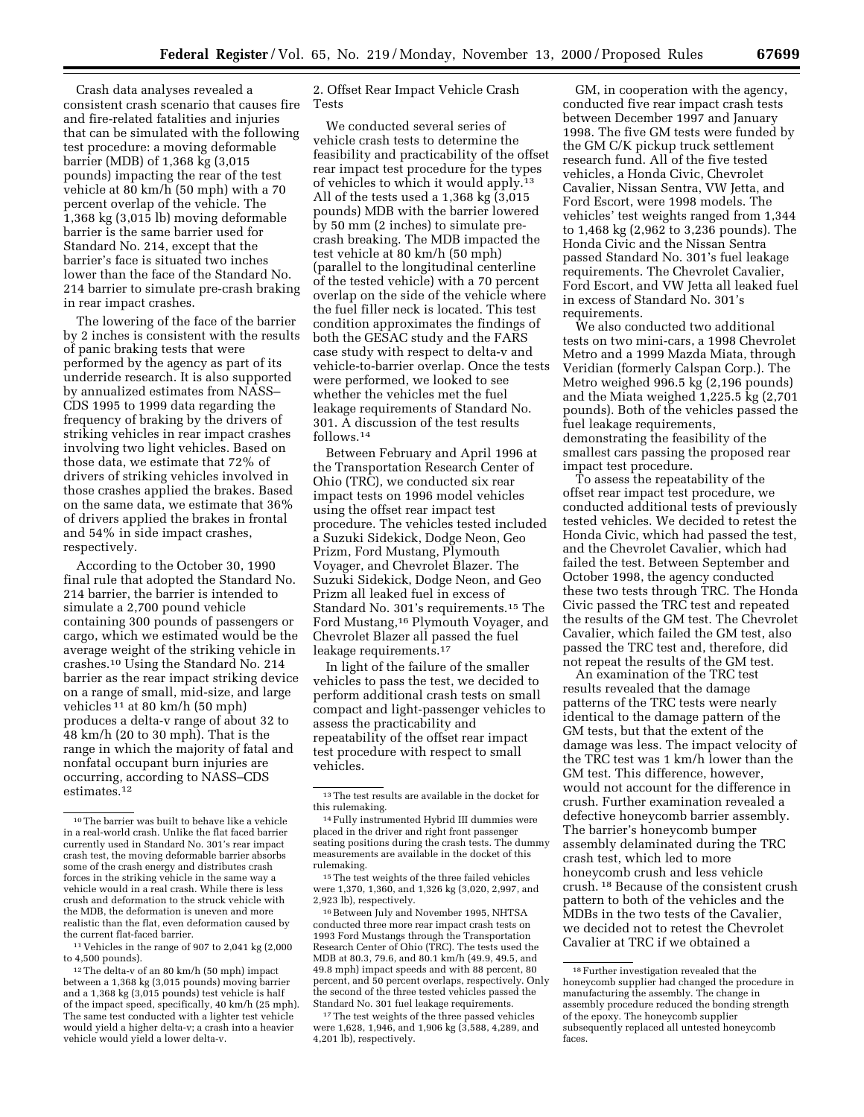Crash data analyses revealed a consistent crash scenario that causes fire and fire-related fatalities and injuries that can be simulated with the following test procedure: a moving deformable barrier (MDB) of 1,368 kg (3,015 pounds) impacting the rear of the test vehicle at 80 km/h (50 mph) with a 70 percent overlap of the vehicle. The 1,368 kg (3,015 lb) moving deformable barrier is the same barrier used for Standard No. 214, except that the barrier's face is situated two inches lower than the face of the Standard No. 214 barrier to simulate pre-crash braking in rear impact crashes.

The lowering of the face of the barrier by 2 inches is consistent with the results of panic braking tests that were performed by the agency as part of its underride research. It is also supported by annualized estimates from NASS– CDS 1995 to 1999 data regarding the frequency of braking by the drivers of striking vehicles in rear impact crashes involving two light vehicles. Based on those data, we estimate that 72% of drivers of striking vehicles involved in those crashes applied the brakes. Based on the same data, we estimate that 36% of drivers applied the brakes in frontal and 54% in side impact crashes, respectively.

According to the October 30, 1990 final rule that adopted the Standard No. 214 barrier, the barrier is intended to simulate a 2,700 pound vehicle containing 300 pounds of passengers or cargo, which we estimated would be the average weight of the striking vehicle in crashes.10 Using the Standard No. 214 barrier as the rear impact striking device on a range of small, mid-size, and large vehicles 11 at 80 km/h (50 mph) produces a delta-v range of about 32 to 48 km/h (20 to 30 mph). That is the range in which the majority of fatal and nonfatal occupant burn injuries are occurring, according to NASS–CDS estimates.12

11 Vehicles in the range of 907 to 2,041 kg (2,000 to 4,500 pounds).

2. Offset Rear Impact Vehicle Crash Tests

We conducted several series of vehicle crash tests to determine the feasibility and practicability of the offset rear impact test procedure for the types of vehicles to which it would apply.13 All of the tests used a 1,368 kg (3,015 pounds) MDB with the barrier lowered by 50 mm (2 inches) to simulate precrash breaking. The MDB impacted the test vehicle at 80 km/h (50 mph) (parallel to the longitudinal centerline of the tested vehicle) with a 70 percent overlap on the side of the vehicle where the fuel filler neck is located. This test condition approximates the findings of both the GESAC study and the FARS case study with respect to delta-v and vehicle-to-barrier overlap. Once the tests were performed, we looked to see whether the vehicles met the fuel leakage requirements of Standard No. 301. A discussion of the test results follows.14

Between February and April 1996 at the Transportation Research Center of Ohio (TRC), we conducted six rear impact tests on 1996 model vehicles using the offset rear impact test procedure. The vehicles tested included a Suzuki Sidekick, Dodge Neon, Geo Prizm, Ford Mustang, Plymouth Voyager, and Chevrolet Blazer. The Suzuki Sidekick, Dodge Neon, and Geo Prizm all leaked fuel in excess of Standard No. 301's requirements.15 The Ford Mustang,16 Plymouth Voyager, and Chevrolet Blazer all passed the fuel leakage requirements.17

In light of the failure of the smaller vehicles to pass the test, we decided to perform additional crash tests on small compact and light-passenger vehicles to assess the practicability and repeatability of the offset rear impact test procedure with respect to small vehicles.

<sup>15</sup> The test weights of the three failed vehicles were 1,370, 1,360, and 1,326 kg (3,020, 2,997, and 2,923 lb), respectively.

<sup>16</sup> Between July and November 1995, NHTSA conducted three more rear impact crash tests on 1993 Ford Mustangs through the Transportation Research Center of Ohio (TRC). The tests used the MDB at 80.3, 79.6, and 80.1 km/h (49.9, 49.5, and 49.8 mph) impact speeds and with 88 percent, 80 percent, and 50 percent overlaps, respectively. Only the second of the three tested vehicles passed the Standard No. 301 fuel leakage requirements.

<sup>17</sup>The test weights of the three passed vehicles were 1,628, 1,946, and 1,906 kg (3,588, 4,289, and 4,201 lb), respectively.

GM, in cooperation with the agency, conducted five rear impact crash tests between December 1997 and January 1998. The five GM tests were funded by the GM C/K pickup truck settlement research fund. All of the five tested vehicles, a Honda Civic, Chevrolet Cavalier, Nissan Sentra, VW Jetta, and Ford Escort, were 1998 models. The vehicles' test weights ranged from 1,344 to 1,468 kg (2,962 to 3,236 pounds). The Honda Civic and the Nissan Sentra passed Standard No. 301's fuel leakage requirements. The Chevrolet Cavalier, Ford Escort, and VW Jetta all leaked fuel in excess of Standard No. 301's requirements.

We also conducted two additional tests on two mini-cars, a 1998 Chevrolet Metro and a 1999 Mazda Miata, through Veridian (formerly Calspan Corp.). The Metro weighed 996.5 kg (2,196 pounds) and the Miata weighed 1,225.5 kg (2,701 pounds). Both of the vehicles passed the fuel leakage requirements, demonstrating the feasibility of the smallest cars passing the proposed rear impact test procedure.

To assess the repeatability of the offset rear impact test procedure, we conducted additional tests of previously tested vehicles. We decided to retest the Honda Civic, which had passed the test, and the Chevrolet Cavalier, which had failed the test. Between September and October 1998, the agency conducted these two tests through TRC. The Honda Civic passed the TRC test and repeated the results of the GM test. The Chevrolet Cavalier, which failed the GM test, also passed the TRC test and, therefore, did not repeat the results of the GM test.

An examination of the TRC test results revealed that the damage patterns of the TRC tests were nearly identical to the damage pattern of the GM tests, but that the extent of the damage was less. The impact velocity of the TRC test was 1 km/h lower than the GM test. This difference, however, would not account for the difference in crush. Further examination revealed a defective honeycomb barrier assembly. The barrier's honeycomb bumper assembly delaminated during the TRC crash test, which led to more honeycomb crush and less vehicle crush. 18 Because of the consistent crush pattern to both of the vehicles and the MDBs in the two tests of the Cavalier, we decided not to retest the Chevrolet Cavalier at TRC if we obtained a

 $^{\rm 10}\!$  The barrier was built to behave like a vehicle in a real-world crash. Unlike the flat faced barrier currently used in Standard No. 301's rear impact crash test, the moving deformable barrier absorbs some of the crash energy and distributes crash forces in the striking vehicle in the same way a vehicle would in a real crash. While there is less crush and deformation to the struck vehicle with the MDB, the deformation is uneven and more realistic than the flat, even deformation caused by the current flat-faced barrier.

<sup>12</sup>The delta-v of an 80 km/h (50 mph) impact between a 1,368 kg (3,015 pounds) moving barrier and a 1,368 kg (3,015 pounds) test vehicle is half of the impact speed, specifically, 40 km/h (25 mph). The same test conducted with a lighter test vehicle would yield a higher delta-v; a crash into a heavier vehicle would yield a lower delta-v.

<sup>13</sup>The test results are available in the docket for this rulemaking.

<sup>14</sup>Fully instrumented Hybrid III dummies were placed in the driver and right front passenger seating positions during the crash tests. The dummy measurements are available in the docket of this rulemaking.

<sup>18</sup>Further investigation revealed that the honeycomb supplier had changed the procedure in manufacturing the assembly. The change in assembly procedure reduced the bonding strength of the epoxy. The honeycomb supplier subsequently replaced all untested honeycomb faces.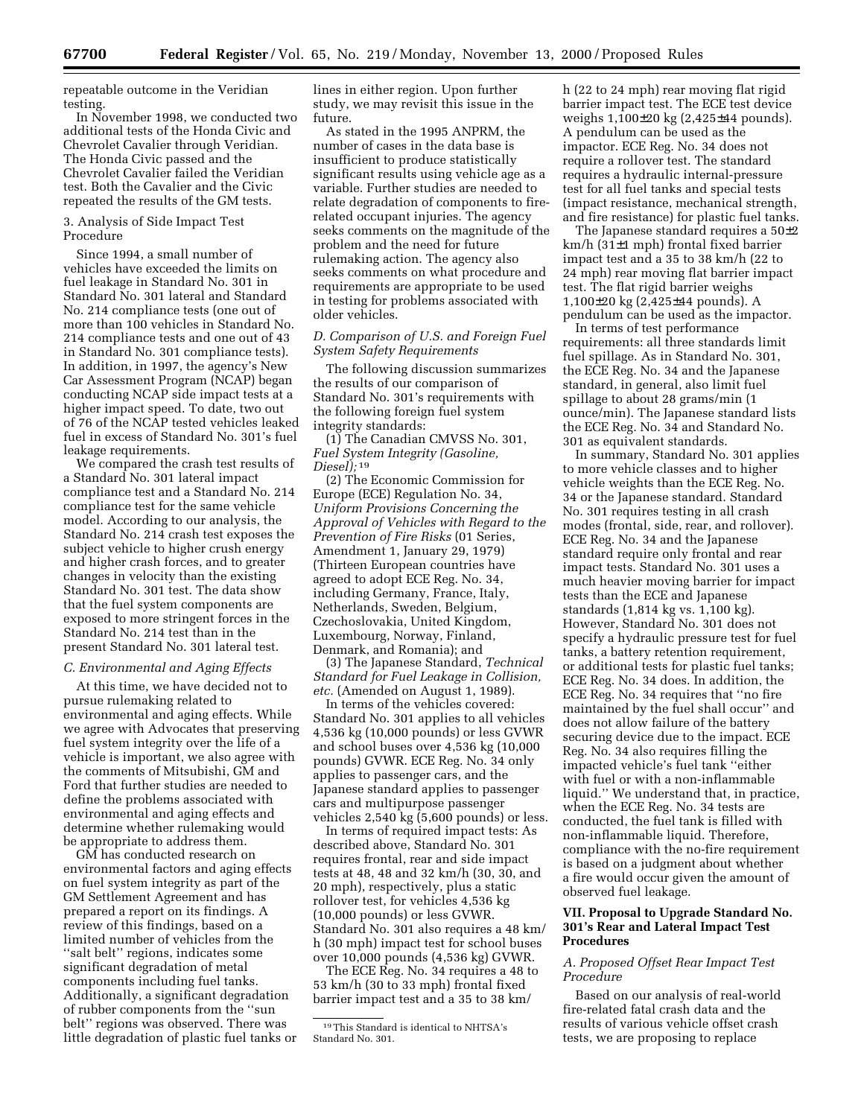repeatable outcome in the Veridian testing.

In November 1998, we conducted two additional tests of the Honda Civic and Chevrolet Cavalier through Veridian. The Honda Civic passed and the Chevrolet Cavalier failed the Veridian test. Both the Cavalier and the Civic repeated the results of the GM tests.

## 3. Analysis of Side Impact Test Procedure

Since 1994, a small number of vehicles have exceeded the limits on fuel leakage in Standard No. 301 in Standard No. 301 lateral and Standard No. 214 compliance tests (one out of more than 100 vehicles in Standard No. 214 compliance tests and one out of 43 in Standard No. 301 compliance tests). In addition, in 1997, the agency's New Car Assessment Program (NCAP) began conducting NCAP side impact tests at a higher impact speed. To date, two out of 76 of the NCAP tested vehicles leaked fuel in excess of Standard No. 301's fuel leakage requirements.

We compared the crash test results of a Standard No. 301 lateral impact compliance test and a Standard No. 214 compliance test for the same vehicle model. According to our analysis, the Standard No. 214 crash test exposes the subject vehicle to higher crush energy and higher crash forces, and to greater changes in velocity than the existing Standard No. 301 test. The data show that the fuel system components are exposed to more stringent forces in the Standard No. 214 test than in the present Standard No. 301 lateral test.

## *C. Environmental and Aging Effects*

At this time, we have decided not to pursue rulemaking related to environmental and aging effects. While we agree with Advocates that preserving fuel system integrity over the life of a vehicle is important, we also agree with the comments of Mitsubishi, GM and Ford that further studies are needed to define the problems associated with environmental and aging effects and determine whether rulemaking would be appropriate to address them.

GM has conducted research on environmental factors and aging effects on fuel system integrity as part of the GM Settlement Agreement and has prepared a report on its findings. A review of this findings, based on a limited number of vehicles from the ''salt belt'' regions, indicates some significant degradation of metal components including fuel tanks. Additionally, a significant degradation of rubber components from the ''sun belt'' regions was observed. There was little degradation of plastic fuel tanks or lines in either region. Upon further study, we may revisit this issue in the future.

As stated in the 1995 ANPRM, the number of cases in the data base is insufficient to produce statistically significant results using vehicle age as a variable. Further studies are needed to relate degradation of components to firerelated occupant injuries. The agency seeks comments on the magnitude of the problem and the need for future rulemaking action. The agency also seeks comments on what procedure and requirements are appropriate to be used in testing for problems associated with older vehicles.

## *D. Comparison of U.S. and Foreign Fuel System Safety Requirements*

The following discussion summarizes the results of our comparison of Standard No. 301's requirements with the following foreign fuel system integrity standards:

(1) The Canadian CMVSS No. 301, *Fuel System Integrity (Gasoline, Diesel);* 19

(2) The Economic Commission for Europe (ECE) Regulation No. 34, *Uniform Provisions Concerning the Approval of Vehicles with Regard to the Prevention of Fire Risks* (01 Series, Amendment 1, January 29, 1979) (Thirteen European countries have agreed to adopt ECE Reg. No. 34, including Germany, France, Italy, Netherlands, Sweden, Belgium, Czechoslovakia, United Kingdom, Luxembourg, Norway, Finland, Denmark, and Romania); and

(3) The Japanese Standard, *Technical Standard for Fuel Leakage in Collision, etc.* (Amended on August 1, 1989).

In terms of the vehicles covered: Standard No. 301 applies to all vehicles 4,536 kg (10,000 pounds) or less GVWR and school buses over 4,536 kg (10,000 pounds) GVWR. ECE Reg. No. 34 only applies to passenger cars, and the Japanese standard applies to passenger cars and multipurpose passenger vehicles 2,540 kg (5,600 pounds) or less.

In terms of required impact tests: As described above, Standard No. 301 requires frontal, rear and side impact tests at 48, 48 and 32 km/h (30, 30, and 20 mph), respectively, plus a static rollover test, for vehicles 4,536 kg (10,000 pounds) or less GVWR. Standard No. 301 also requires a 48 km/ h (30 mph) impact test for school buses over 10,000 pounds (4,536 kg) GVWR.

The ECE Reg. No. 34 requires a 48 to 53 km/h (30 to 33 mph) frontal fixed barrier impact test and a 35 to 38 km/

h (22 to 24 mph) rear moving flat rigid barrier impact test. The ECE test device weighs 1,100±20 kg (2,425±44 pounds). A pendulum can be used as the impactor. ECE Reg. No. 34 does not require a rollover test. The standard requires a hydraulic internal-pressure test for all fuel tanks and special tests (impact resistance, mechanical strength, and fire resistance) for plastic fuel tanks.

The Japanese standard requires a 50±2 km/h (31±1 mph) frontal fixed barrier impact test and a 35 to 38 km/h (22 to 24 mph) rear moving flat barrier impact test. The flat rigid barrier weighs 1,100±20 kg (2,425±44 pounds). A pendulum can be used as the impactor.

In terms of test performance requirements: all three standards limit fuel spillage. As in Standard No. 301, the ECE Reg. No. 34 and the Japanese standard, in general, also limit fuel spillage to about 28 grams/min (1 ounce/min). The Japanese standard lists the ECE Reg. No. 34 and Standard No. 301 as equivalent standards.

In summary, Standard No. 301 applies to more vehicle classes and to higher vehicle weights than the ECE Reg. No. 34 or the Japanese standard. Standard No. 301 requires testing in all crash modes (frontal, side, rear, and rollover). ECE Reg. No. 34 and the Japanese standard require only frontal and rear impact tests. Standard No. 301 uses a much heavier moving barrier for impact tests than the ECE and Japanese standards (1,814 kg vs. 1,100 kg). However, Standard No. 301 does not specify a hydraulic pressure test for fuel tanks, a battery retention requirement, or additional tests for plastic fuel tanks; ECE Reg. No. 34 does. In addition, the ECE Reg. No. 34 requires that ''no fire maintained by the fuel shall occur'' and does not allow failure of the battery securing device due to the impact. ECE Reg. No. 34 also requires filling the impacted vehicle's fuel tank ''either with fuel or with a non-inflammable liquid.'' We understand that, in practice, when the ECE Reg. No. 34 tests are conducted, the fuel tank is filled with non-inflammable liquid. Therefore, compliance with the no-fire requirement is based on a judgment about whether a fire would occur given the amount of observed fuel leakage.

# **VII. Proposal to Upgrade Standard No. 301's Rear and Lateral Impact Test Procedures**

## *A. Proposed Offset Rear Impact Test Procedure*

Based on our analysis of real-world fire-related fatal crash data and the results of various vehicle offset crash tests, we are proposing to replace

<sup>19</sup>This Standard is identical to NHTSA's Standard No. 301.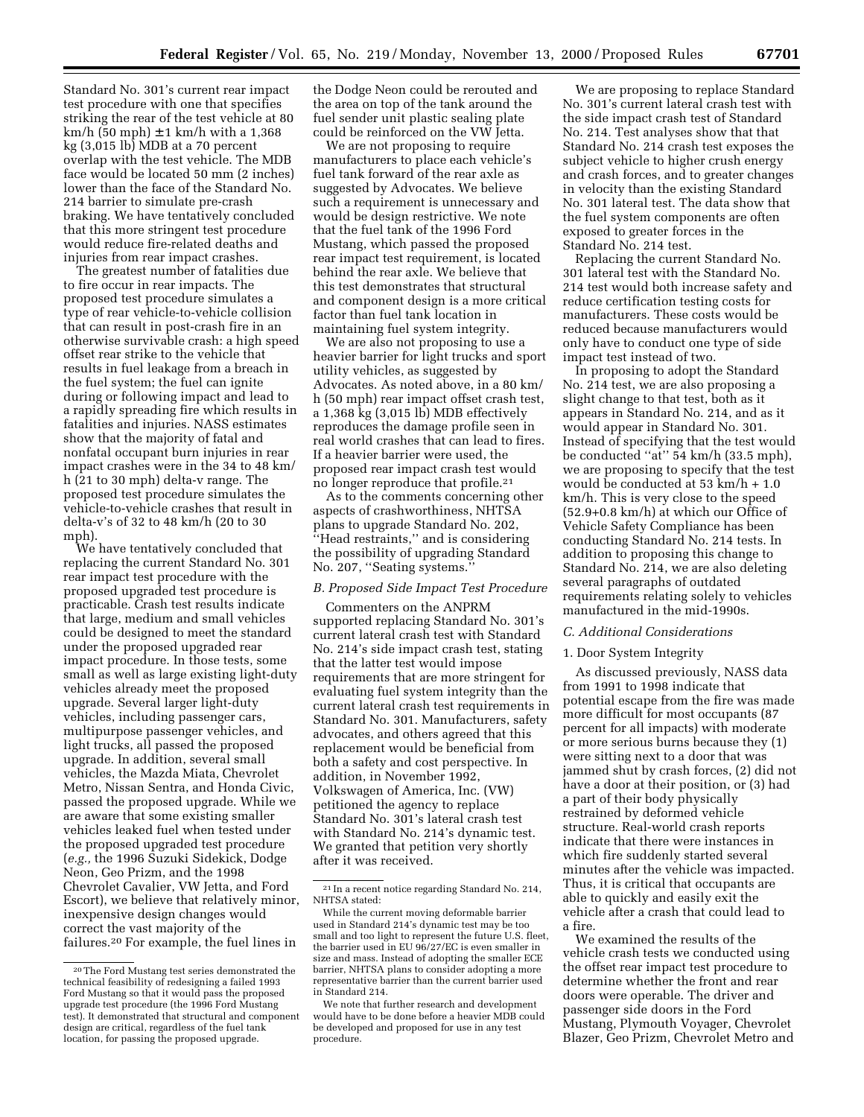Standard No. 301's current rear impact test procedure with one that specifies striking the rear of the test vehicle at 80  $km/h$  (50 mph)  $\pm$  1 km/h with a 1,368 kg (3,015 lb) MDB at a 70 percent overlap with the test vehicle. The MDB face would be located 50 mm (2 inches) lower than the face of the Standard No. 214 barrier to simulate pre-crash braking. We have tentatively concluded that this more stringent test procedure would reduce fire-related deaths and injuries from rear impact crashes.

The greatest number of fatalities due to fire occur in rear impacts. The proposed test procedure simulates a type of rear vehicle-to-vehicle collision that can result in post-crash fire in an otherwise survivable crash: a high speed offset rear strike to the vehicle that results in fuel leakage from a breach in the fuel system; the fuel can ignite during or following impact and lead to a rapidly spreading fire which results in fatalities and injuries. NASS estimates show that the majority of fatal and nonfatal occupant burn injuries in rear impact crashes were in the 34 to 48 km/ h (21 to 30 mph) delta-v range. The proposed test procedure simulates the vehicle-to-vehicle crashes that result in delta-v's of 32 to 48 km/h (20 to 30 mph).

We have tentatively concluded that replacing the current Standard No. 301 rear impact test procedure with the proposed upgraded test procedure is practicable. Crash test results indicate that large, medium and small vehicles could be designed to meet the standard under the proposed upgraded rear impact procedure. In those tests, some small as well as large existing light-duty vehicles already meet the proposed upgrade. Several larger light-duty vehicles, including passenger cars, multipurpose passenger vehicles, and light trucks, all passed the proposed upgrade. In addition, several small vehicles, the Mazda Miata, Chevrolet Metro, Nissan Sentra, and Honda Civic, passed the proposed upgrade. While we are aware that some existing smaller vehicles leaked fuel when tested under the proposed upgraded test procedure (*e.g.,* the 1996 Suzuki Sidekick, Dodge Neon, Geo Prizm, and the 1998 Chevrolet Cavalier, VW Jetta, and Ford Escort), we believe that relatively minor, inexpensive design changes would correct the vast majority of the failures.20 For example, the fuel lines in

the Dodge Neon could be rerouted and the area on top of the tank around the fuel sender unit plastic sealing plate could be reinforced on the VW Jetta.

We are not proposing to require manufacturers to place each vehicle's fuel tank forward of the rear axle as suggested by Advocates. We believe such a requirement is unnecessary and would be design restrictive. We note that the fuel tank of the 1996 Ford Mustang, which passed the proposed rear impact test requirement, is located behind the rear axle. We believe that this test demonstrates that structural and component design is a more critical factor than fuel tank location in maintaining fuel system integrity.

We are also not proposing to use a heavier barrier for light trucks and sport utility vehicles, as suggested by Advocates. As noted above, in a 80 km/ h (50 mph) rear impact offset crash test, a 1,368 kg (3,015 lb) MDB effectively reproduces the damage profile seen in real world crashes that can lead to fires. If a heavier barrier were used, the proposed rear impact crash test would no longer reproduce that profile.21

As to the comments concerning other aspects of crashworthiness, NHTSA plans to upgrade Standard No. 202, ''Head restraints,'' and is considering the possibility of upgrading Standard No. 207, ''Seating systems.''

## *B. Proposed Side Impact Test Procedure*

Commenters on the ANPRM supported replacing Standard No. 301's current lateral crash test with Standard No. 214's side impact crash test, stating that the latter test would impose requirements that are more stringent for evaluating fuel system integrity than the current lateral crash test requirements in Standard No. 301. Manufacturers, safety advocates, and others agreed that this replacement would be beneficial from both a safety and cost perspective. In addition, in November 1992, Volkswagen of America, Inc. (VW) petitioned the agency to replace Standard No. 301's lateral crash test with Standard No. 214's dynamic test. We granted that petition very shortly after it was received.

We are proposing to replace Standard No. 301's current lateral crash test with the side impact crash test of Standard No. 214. Test analyses show that that Standard No. 214 crash test exposes the subject vehicle to higher crush energy and crash forces, and to greater changes in velocity than the existing Standard No. 301 lateral test. The data show that the fuel system components are often exposed to greater forces in the Standard No. 214 test.

Replacing the current Standard No. 301 lateral test with the Standard No. 214 test would both increase safety and reduce certification testing costs for manufacturers. These costs would be reduced because manufacturers would only have to conduct one type of side impact test instead of two.

In proposing to adopt the Standard No. 214 test, we are also proposing a slight change to that test, both as it appears in Standard No. 214, and as it would appear in Standard No. 301. Instead of specifying that the test would be conducted ''at'' 54 km/h (33.5 mph), we are proposing to specify that the test would be conducted at 53 km/h + 1.0 km/h. This is very close to the speed (52.9+0.8 km/h) at which our Office of Vehicle Safety Compliance has been conducting Standard No. 214 tests. In addition to proposing this change to Standard No. 214, we are also deleting several paragraphs of outdated requirements relating solely to vehicles manufactured in the mid-1990s.

#### *C. Additional Considerations*

### 1. Door System Integrity

As discussed previously, NASS data from 1991 to 1998 indicate that potential escape from the fire was made more difficult for most occupants (87 percent for all impacts) with moderate or more serious burns because they (1) were sitting next to a door that was jammed shut by crash forces, (2) did not have a door at their position, or (3) had a part of their body physically restrained by deformed vehicle structure. Real-world crash reports indicate that there were instances in which fire suddenly started several minutes after the vehicle was impacted. Thus, it is critical that occupants are able to quickly and easily exit the vehicle after a crash that could lead to a fire.

We examined the results of the vehicle crash tests we conducted using the offset rear impact test procedure to determine whether the front and rear doors were operable. The driver and passenger side doors in the Ford Mustang, Plymouth Voyager, Chevrolet Blazer, Geo Prizm, Chevrolet Metro and

<sup>20</sup>The Ford Mustang test series demonstrated the technical feasibility of redesigning a failed 1993 Ford Mustang so that it would pass the proposed upgrade test procedure (the 1996 Ford Mustang test). It demonstrated that structural and component design are critical, regardless of the fuel tank location, for passing the proposed upgrade.

<sup>21</sup> In a recent notice regarding Standard No. 214, NHTSA stated:

While the current moving deformable barrier used in Standard 214's dynamic test may be too small and too light to represent the future U.S. fleet, the barrier used in EU 96/27/EC is even smaller in size and mass. Instead of adopting the smaller ECE barrier, NHTSA plans to consider adopting a more representative barrier than the current barrier used in Standard 214.

We note that further research and development would have to be done before a heavier MDB could be developed and proposed for use in any test procedure.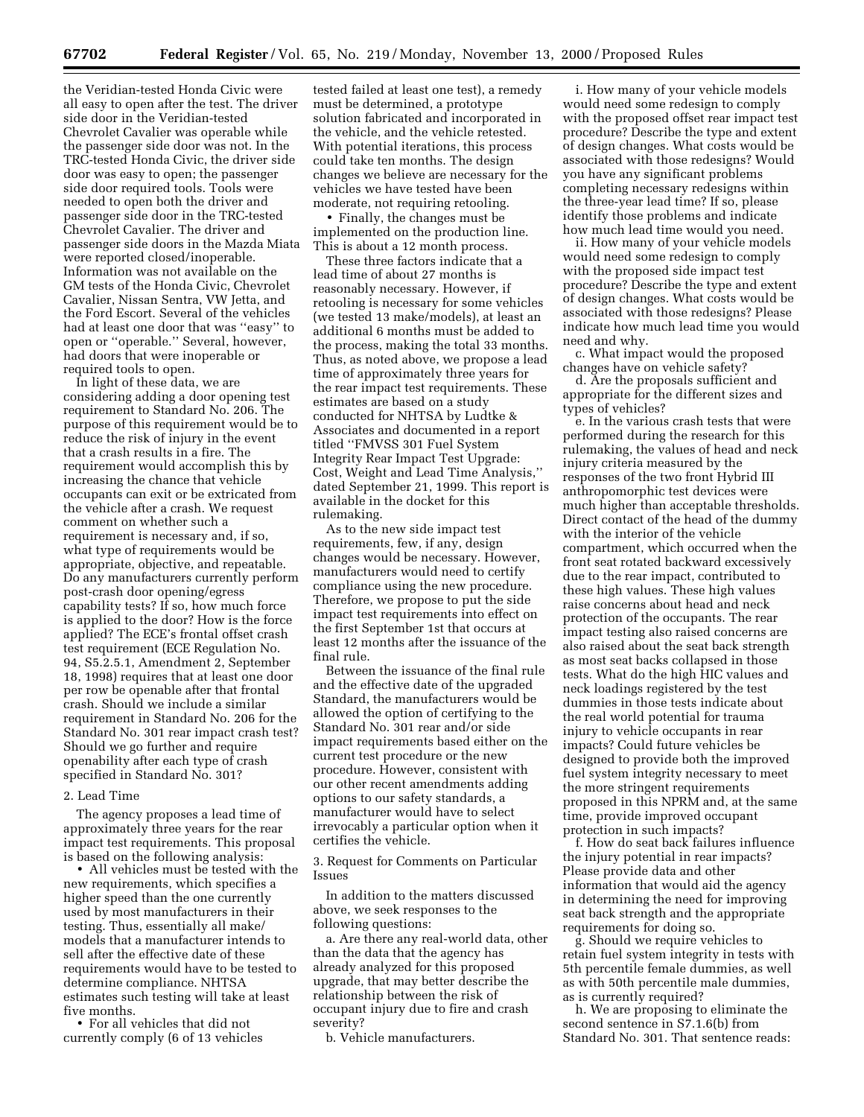the Veridian-tested Honda Civic were all easy to open after the test. The driver side door in the Veridian-tested Chevrolet Cavalier was operable while the passenger side door was not. In the TRC-tested Honda Civic, the driver side door was easy to open; the passenger side door required tools. Tools were needed to open both the driver and passenger side door in the TRC-tested Chevrolet Cavalier. The driver and passenger side doors in the Mazda Miata were reported closed/inoperable. Information was not available on the GM tests of the Honda Civic, Chevrolet Cavalier, Nissan Sentra, VW Jetta, and the Ford Escort. Several of the vehicles had at least one door that was ''easy'' to open or ''operable.'' Several, however, had doors that were inoperable or required tools to open.

In light of these data, we are considering adding a door opening test requirement to Standard No. 206. The purpose of this requirement would be to reduce the risk of injury in the event that a crash results in a fire. The requirement would accomplish this by increasing the chance that vehicle occupants can exit or be extricated from the vehicle after a crash. We request comment on whether such a requirement is necessary and, if so, what type of requirements would be appropriate, objective, and repeatable. Do any manufacturers currently perform post-crash door opening/egress capability tests? If so, how much force is applied to the door? How is the force applied? The ECE's frontal offset crash test requirement (ECE Regulation No. 94, S5.2.5.1, Amendment 2, September 18, 1998) requires that at least one door per row be openable after that frontal crash. Should we include a similar requirement in Standard No. 206 for the Standard No. 301 rear impact crash test? Should we go further and require openability after each type of crash specified in Standard No. 301?

## 2. Lead Time

The agency proposes a lead time of approximately three years for the rear impact test requirements. This proposal is based on the following analysis:

• All vehicles must be tested with the new requirements, which specifies a higher speed than the one currently used by most manufacturers in their testing. Thus, essentially all make/ models that a manufacturer intends to sell after the effective date of these requirements would have to be tested to determine compliance. NHTSA estimates such testing will take at least five months.

• For all vehicles that did not currently comply (6 of 13 vehicles

tested failed at least one test), a remedy must be determined, a prototype solution fabricated and incorporated in the vehicle, and the vehicle retested. With potential iterations, this process could take ten months. The design changes we believe are necessary for the vehicles we have tested have been moderate, not requiring retooling.

• Finally, the changes must be implemented on the production line. This is about a 12 month process.

These three factors indicate that a lead time of about 27 months is reasonably necessary. However, if retooling is necessary for some vehicles (we tested 13 make/models), at least an additional 6 months must be added to the process, making the total 33 months. Thus, as noted above, we propose a lead time of approximately three years for the rear impact test requirements. These estimates are based on a study conducted for NHTSA by Ludtke & Associates and documented in a report titled ''FMVSS 301 Fuel System Integrity Rear Impact Test Upgrade: Cost, Weight and Lead Time Analysis,'' dated September 21, 1999. This report is available in the docket for this rulemaking.

As to the new side impact test requirements, few, if any, design changes would be necessary. However, manufacturers would need to certify compliance using the new procedure. Therefore, we propose to put the side impact test requirements into effect on the first September 1st that occurs at least 12 months after the issuance of the final rule.

Between the issuance of the final rule and the effective date of the upgraded Standard, the manufacturers would be allowed the option of certifying to the Standard No. 301 rear and/or side impact requirements based either on the current test procedure or the new procedure. However, consistent with our other recent amendments adding options to our safety standards, a manufacturer would have to select irrevocably a particular option when it certifies the vehicle.

3. Request for Comments on Particular Issues

In addition to the matters discussed above, we seek responses to the following questions:

a. Are there any real-world data, other than the data that the agency has already analyzed for this proposed upgrade, that may better describe the relationship between the risk of occupant injury due to fire and crash severity?

b. Vehicle manufacturers.

i. How many of your vehicle models would need some redesign to comply with the proposed offset rear impact test procedure? Describe the type and extent of design changes. What costs would be associated with those redesigns? Would you have any significant problems completing necessary redesigns within the three-year lead time? If so, please identify those problems and indicate how much lead time would you need.

ii. How many of your vehicle models would need some redesign to comply with the proposed side impact test procedure? Describe the type and extent of design changes. What costs would be associated with those redesigns? Please indicate how much lead time you would need and why.

c. What impact would the proposed changes have on vehicle safety?

d. Are the proposals sufficient and appropriate for the different sizes and types of vehicles?

e. In the various crash tests that were performed during the research for this rulemaking, the values of head and neck injury criteria measured by the responses of the two front Hybrid III anthropomorphic test devices were much higher than acceptable thresholds. Direct contact of the head of the dummy with the interior of the vehicle compartment, which occurred when the front seat rotated backward excessively due to the rear impact, contributed to these high values. These high values raise concerns about head and neck protection of the occupants. The rear impact testing also raised concerns are also raised about the seat back strength as most seat backs collapsed in those tests. What do the high HIC values and neck loadings registered by the test dummies in those tests indicate about the real world potential for trauma injury to vehicle occupants in rear impacts? Could future vehicles be designed to provide both the improved fuel system integrity necessary to meet the more stringent requirements proposed in this NPRM and, at the same time, provide improved occupant protection in such impacts?

f. How do seat back failures influence the injury potential in rear impacts? Please provide data and other information that would aid the agency in determining the need for improving seat back strength and the appropriate requirements for doing so.

g. Should we require vehicles to retain fuel system integrity in tests with 5th percentile female dummies, as well as with 50th percentile male dummies, as is currently required?

h. We are proposing to eliminate the second sentence in S7.1.6(b) from Standard No. 301. That sentence reads: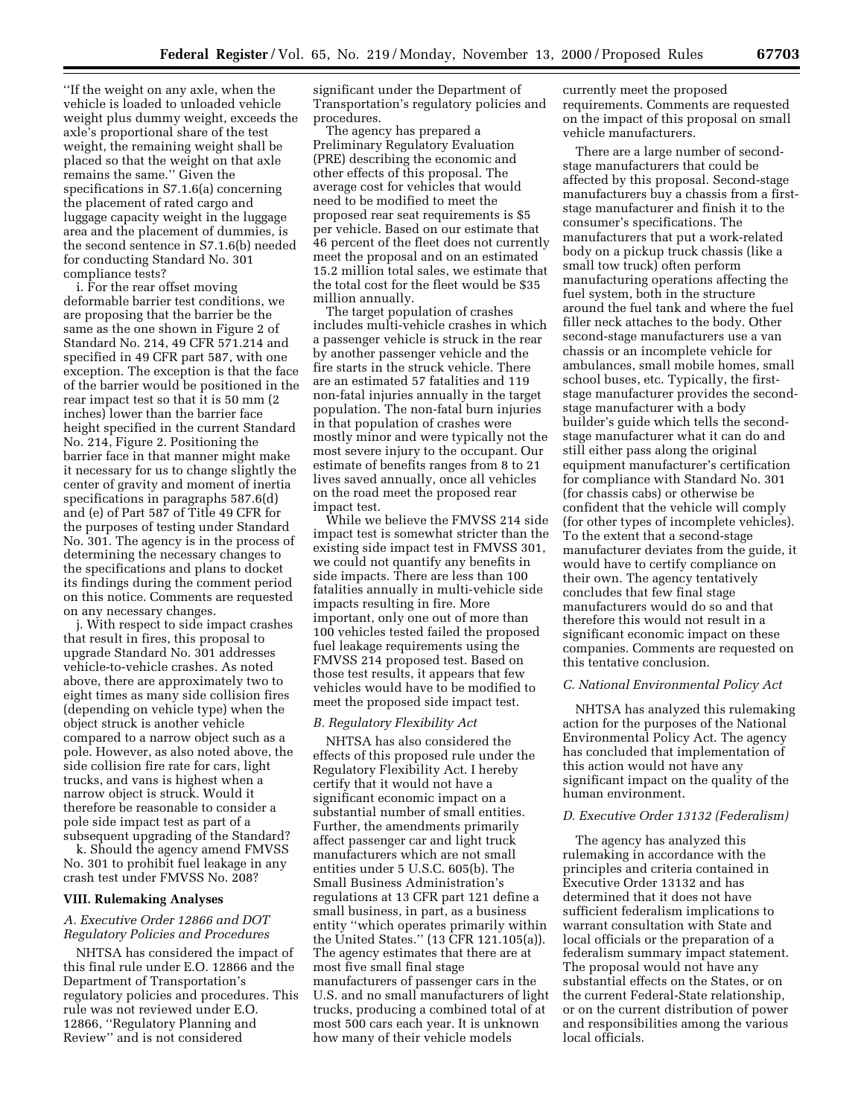''If the weight on any axle, when the vehicle is loaded to unloaded vehicle weight plus dummy weight, exceeds the axle's proportional share of the test weight, the remaining weight shall be placed so that the weight on that axle remains the same.'' Given the specifications in S7.1.6(a) concerning the placement of rated cargo and luggage capacity weight in the luggage area and the placement of dummies, is the second sentence in S7.1.6(b) needed for conducting Standard No. 301 compliance tests?

i. For the rear offset moving deformable barrier test conditions, we are proposing that the barrier be the same as the one shown in Figure 2 of Standard No. 214, 49 CFR 571.214 and specified in 49 CFR part 587, with one exception. The exception is that the face of the barrier would be positioned in the rear impact test so that it is 50 mm (2 inches) lower than the barrier face height specified in the current Standard No. 214, Figure 2. Positioning the barrier face in that manner might make it necessary for us to change slightly the center of gravity and moment of inertia specifications in paragraphs 587.6(d) and (e) of Part 587 of Title 49 CFR for the purposes of testing under Standard No. 301. The agency is in the process of determining the necessary changes to the specifications and plans to docket its findings during the comment period on this notice. Comments are requested on any necessary changes.

j. With respect to side impact crashes that result in fires, this proposal to upgrade Standard No. 301 addresses vehicle-to-vehicle crashes. As noted above, there are approximately two to eight times as many side collision fires (depending on vehicle type) when the object struck is another vehicle compared to a narrow object such as a pole. However, as also noted above, the side collision fire rate for cars, light trucks, and vans is highest when a narrow object is struck. Would it therefore be reasonable to consider a pole side impact test as part of a subsequent upgrading of the Standard?

k. Should the agency amend FMVSS No. 301 to prohibit fuel leakage in any crash test under FMVSS No. 208?

## **VIII. Rulemaking Analyses**

## *A. Executive Order 12866 and DOT Regulatory Policies and Procedures*

NHTSA has considered the impact of this final rule under E.O. 12866 and the Department of Transportation's regulatory policies and procedures. This rule was not reviewed under E.O. 12866, ''Regulatory Planning and Review'' and is not considered

significant under the Department of Transportation's regulatory policies and procedures.

The agency has prepared a Preliminary Regulatory Evaluation (PRE) describing the economic and other effects of this proposal. The average cost for vehicles that would need to be modified to meet the proposed rear seat requirements is \$5 per vehicle. Based on our estimate that 46 percent of the fleet does not currently meet the proposal and on an estimated 15.2 million total sales, we estimate that the total cost for the fleet would be \$35 million annually.

The target population of crashes includes multi-vehicle crashes in which a passenger vehicle is struck in the rear by another passenger vehicle and the fire starts in the struck vehicle. There are an estimated 57 fatalities and 119 non-fatal injuries annually in the target population. The non-fatal burn injuries in that population of crashes were mostly minor and were typically not the most severe injury to the occupant. Our estimate of benefits ranges from 8 to 21 lives saved annually, once all vehicles on the road meet the proposed rear impact test.

While we believe the FMVSS 214 side impact test is somewhat stricter than the existing side impact test in FMVSS 301, we could not quantify any benefits in side impacts. There are less than 100 fatalities annually in multi-vehicle side impacts resulting in fire. More important, only one out of more than 100 vehicles tested failed the proposed fuel leakage requirements using the FMVSS 214 proposed test. Based on those test results, it appears that few vehicles would have to be modified to meet the proposed side impact test.

### *B. Regulatory Flexibility Act*

NHTSA has also considered the effects of this proposed rule under the Regulatory Flexibility Act. I hereby certify that it would not have a significant economic impact on a substantial number of small entities. Further, the amendments primarily affect passenger car and light truck manufacturers which are not small entities under 5 U.S.C. 605(b). The Small Business Administration's regulations at 13 CFR part 121 define a small business, in part, as a business entity ''which operates primarily within the United States.'' (13 CFR 121.105(a)). The agency estimates that there are at most five small final stage manufacturers of passenger cars in the U.S. and no small manufacturers of light trucks, producing a combined total of at most 500 cars each year. It is unknown how many of their vehicle models

currently meet the proposed requirements. Comments are requested on the impact of this proposal on small vehicle manufacturers.

There are a large number of secondstage manufacturers that could be affected by this proposal. Second-stage manufacturers buy a chassis from a firststage manufacturer and finish it to the consumer's specifications. The manufacturers that put a work-related body on a pickup truck chassis (like a small tow truck) often perform manufacturing operations affecting the fuel system, both in the structure around the fuel tank and where the fuel filler neck attaches to the body. Other second-stage manufacturers use a van chassis or an incomplete vehicle for ambulances, small mobile homes, small school buses, etc. Typically, the firststage manufacturer provides the secondstage manufacturer with a body builder's guide which tells the secondstage manufacturer what it can do and still either pass along the original equipment manufacturer's certification for compliance with Standard No. 301 (for chassis cabs) or otherwise be confident that the vehicle will comply (for other types of incomplete vehicles). To the extent that a second-stage manufacturer deviates from the guide, it would have to certify compliance on their own. The agency tentatively concludes that few final stage manufacturers would do so and that therefore this would not result in a significant economic impact on these companies. Comments are requested on this tentative conclusion.

### *C. National Environmental Policy Act*

NHTSA has analyzed this rulemaking action for the purposes of the National Environmental Policy Act. The agency has concluded that implementation of this action would not have any significant impact on the quality of the human environment.

# *D. Executive Order 13132 (Federalism)*

The agency has analyzed this rulemaking in accordance with the principles and criteria contained in Executive Order 13132 and has determined that it does not have sufficient federalism implications to warrant consultation with State and local officials or the preparation of a federalism summary impact statement. The proposal would not have any substantial effects on the States, or on the current Federal-State relationship, or on the current distribution of power and responsibilities among the various local officials.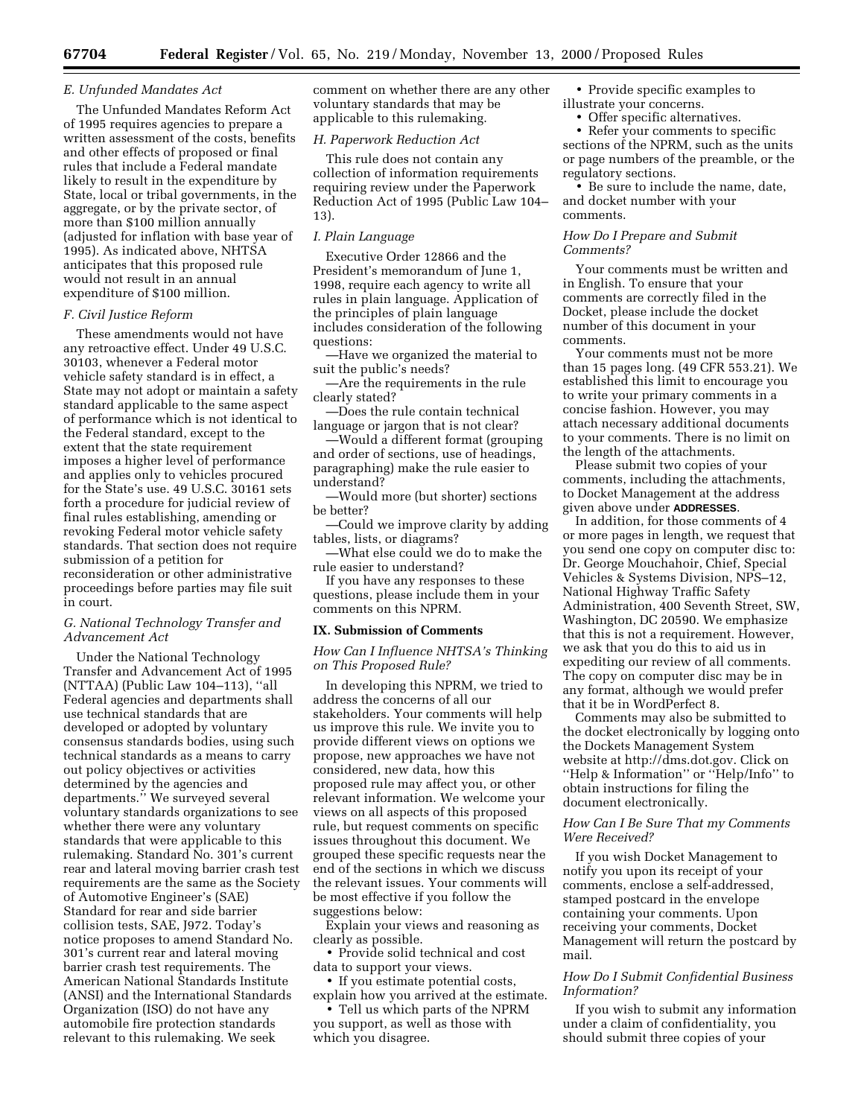### *E. Unfunded Mandates Act*

The Unfunded Mandates Reform Act of 1995 requires agencies to prepare a written assessment of the costs, benefits and other effects of proposed or final rules that include a Federal mandate likely to result in the expenditure by State, local or tribal governments, in the aggregate, or by the private sector, of more than \$100 million annually (adjusted for inflation with base year of 1995). As indicated above, NHTSA anticipates that this proposed rule would not result in an annual expenditure of \$100 million.

#### *F. Civil Justice Reform*

These amendments would not have any retroactive effect. Under 49 U.S.C. 30103, whenever a Federal motor vehicle safety standard is in effect, a State may not adopt or maintain a safety standard applicable to the same aspect of performance which is not identical to the Federal standard, except to the extent that the state requirement imposes a higher level of performance and applies only to vehicles procured for the State's use. 49 U.S.C. 30161 sets forth a procedure for judicial review of final rules establishing, amending or revoking Federal motor vehicle safety standards. That section does not require submission of a petition for reconsideration or other administrative proceedings before parties may file suit in court.

# *G. National Technology Transfer and Advancement Act*

Under the National Technology Transfer and Advancement Act of 1995 (NTTAA) (Public Law 104–113), ''all Federal agencies and departments shall use technical standards that are developed or adopted by voluntary consensus standards bodies, using such technical standards as a means to carry out policy objectives or activities determined by the agencies and departments.'' We surveyed several voluntary standards organizations to see whether there were any voluntary standards that were applicable to this rulemaking. Standard No. 301's current rear and lateral moving barrier crash test requirements are the same as the Society of Automotive Engineer's (SAE) Standard for rear and side barrier collision tests, SAE, J972. Today's notice proposes to amend Standard No. 301's current rear and lateral moving barrier crash test requirements. The American National Standards Institute (ANSI) and the International Standards Organization (ISO) do not have any automobile fire protection standards relevant to this rulemaking. We seek

comment on whether there are any other voluntary standards that may be applicable to this rulemaking.

## *H. Paperwork Reduction Act*

This rule does not contain any collection of information requirements requiring review under the Paperwork Reduction Act of 1995 (Public Law 104– 13).

### *I. Plain Language*

Executive Order 12866 and the President's memorandum of June 1, 1998, require each agency to write all rules in plain language. Application of the principles of plain language includes consideration of the following questions:

—Have we organized the material to suit the public's needs?

—Are the requirements in the rule clearly stated?

—Does the rule contain technical language or jargon that is not clear?

—Would a different format (grouping and order of sections, use of headings, paragraphing) make the rule easier to understand?

—Would more (but shorter) sections be better?

—Could we improve clarity by adding tables, lists, or diagrams?

—What else could we do to make the rule easier to understand?

If you have any responses to these questions, please include them in your comments on this NPRM.

### **IX. Submission of Comments**

*How Can I Influence NHTSA's Thinking on This Proposed Rule?*

In developing this NPRM, we tried to address the concerns of all our stakeholders. Your comments will help us improve this rule. We invite you to provide different views on options we propose, new approaches we have not considered, new data, how this proposed rule may affect you, or other relevant information. We welcome your views on all aspects of this proposed rule, but request comments on specific issues throughout this document. We grouped these specific requests near the end of the sections in which we discuss the relevant issues. Your comments will be most effective if you follow the suggestions below:

Explain your views and reasoning as clearly as possible.

• Provide solid technical and cost data to support your views.

• If you estimate potential costs, explain how you arrived at the estimate.

• Tell us which parts of the NPRM you support, as well as those with which you disagree.

• Provide specific examples to illustrate your concerns.

• Offer specific alternatives.

• Refer your comments to specific sections of the NPRM, such as the units or page numbers of the preamble, or the regulatory sections.

• Be sure to include the name, date, and docket number with your comments.

# *How Do I Prepare and Submit Comments?*

Your comments must be written and in English. To ensure that your comments are correctly filed in the Docket, please include the docket number of this document in your comments.

Your comments must not be more than 15 pages long. (49 CFR 553.21). We established this limit to encourage you to write your primary comments in a concise fashion. However, you may attach necessary additional documents to your comments. There is no limit on the length of the attachments.

Please submit two copies of your comments, including the attachments, to Docket Management at the address given above under **ADDRESSES**.

In addition, for those comments of 4 or more pages in length, we request that you send one copy on computer disc to: Dr. George Mouchahoir, Chief, Special Vehicles & Systems Division, NPS–12, National Highway Traffic Safety Administration, 400 Seventh Street, SW, Washington, DC 20590. We emphasize that this is not a requirement. However, we ask that you do this to aid us in expediting our review of all comments. The copy on computer disc may be in any format, although we would prefer that it be in WordPerfect 8.

Comments may also be submitted to the docket electronically by logging onto the Dockets Management System website at http://dms.dot.gov. Click on ''Help & Information'' or ''Help/Info'' to obtain instructions for filing the document electronically.

## *How Can I Be Sure That my Comments Were Received?*

If you wish Docket Management to notify you upon its receipt of your comments, enclose a self-addressed, stamped postcard in the envelope containing your comments. Upon receiving your comments, Docket Management will return the postcard by mail.

# *How Do I Submit Confidential Business Information?*

If you wish to submit any information under a claim of confidentiality, you should submit three copies of your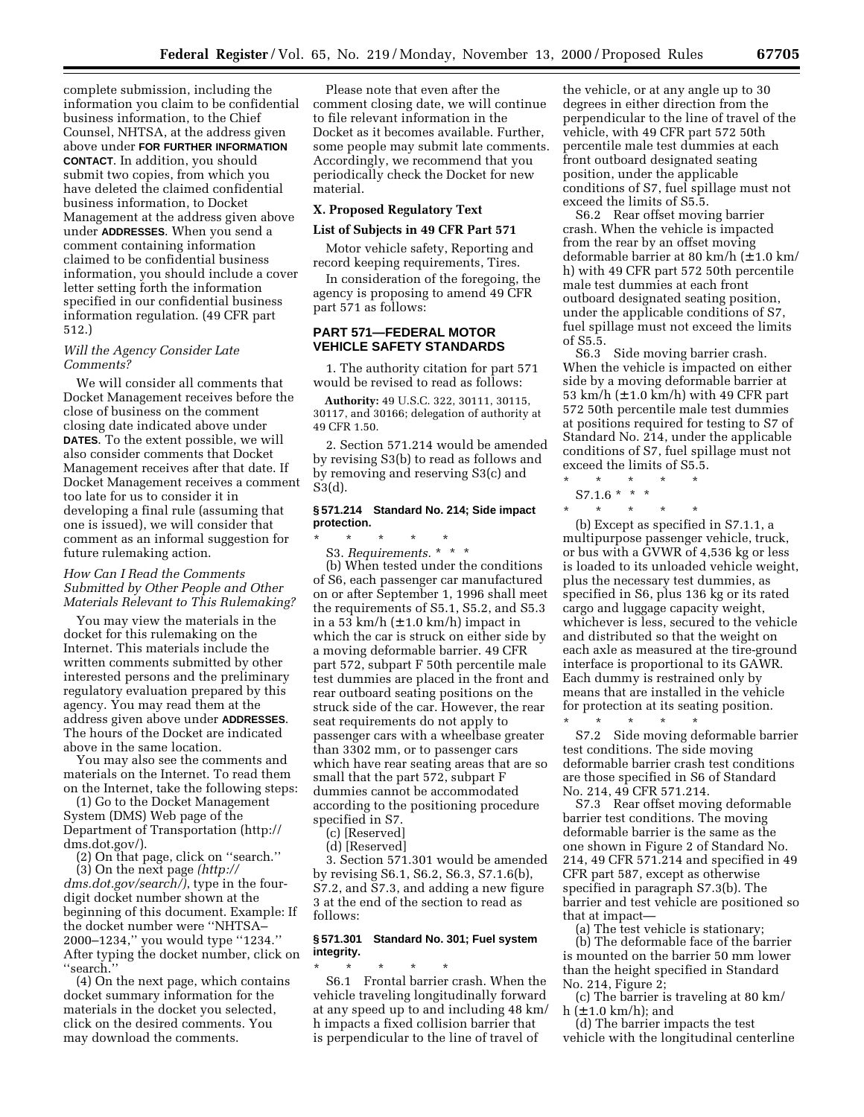complete submission, including the information you claim to be confidential business information, to the Chief Counsel, NHTSA, at the address given above under **FOR FURTHER INFORMATION CONTACT**. In addition, you should submit two copies, from which you have deleted the claimed confidential business information, to Docket Management at the address given above under **ADDRESSES**. When you send a comment containing information claimed to be confidential business information, you should include a cover letter setting forth the information specified in our confidential business information regulation. (49 CFR part 512.)

## *Will the Agency Consider Late Comments?*

We will consider all comments that Docket Management receives before the close of business on the comment closing date indicated above under **DATES**. To the extent possible, we will also consider comments that Docket Management receives after that date. If Docket Management receives a comment too late for us to consider it in developing a final rule (assuming that one is issued), we will consider that comment as an informal suggestion for future rulemaking action.

## *How Can I Read the Comments Submitted by Other People and Other Materials Relevant to This Rulemaking?*

You may view the materials in the docket for this rulemaking on the Internet. This materials include the written comments submitted by other interested persons and the preliminary regulatory evaluation prepared by this agency. You may read them at the address given above under **ADDRESSES**. The hours of the Docket are indicated above in the same location.

You may also see the comments and materials on the Internet. To read them on the Internet, take the following steps:

(1) Go to the Docket Management System (DMS) Web page of the Department of Transportation (http:// dms.dot.gov/).

(2) On that page, click on ''search.''

(3) On the next page *(http:// dms.dot.gov/search/)*, type in the fourdigit docket number shown at the beginning of this document. Example: If the docket number were ''NHTSA– 2000–1234,'' you would type ''1234.'' After typing the docket number, click on ''search.''

(4) On the next page, which contains docket summary information for the materials in the docket you selected, click on the desired comments. You may download the comments.

Please note that even after the comment closing date, we will continue to file relevant information in the Docket as it becomes available. Further, some people may submit late comments. Accordingly, we recommend that you periodically check the Docket for new material.

## **X. Proposed Regulatory Text**

## **List of Subjects in 49 CFR Part 571**

Motor vehicle safety, Reporting and record keeping requirements, Tires.

In consideration of the foregoing, the agency is proposing to amend 49 CFR part 571 as follows:

# **PART 571—FEDERAL MOTOR VEHICLE SAFETY STANDARDS**

1. The authority citation for part 571 would be revised to read as follows:

**Authority:** 49 U.S.C. 322, 30111, 30115, 30117, and 30166; delegation of authority at 49 CFR 1.50.

2. Section 571.214 would be amended by revising S3(b) to read as follows and by removing and reserving S3(c) and S3(d).

# **§ 571.214 Standard No. 214; Side impact protection.**

\* \* \* \* \* S3. *Requirements.* \*\*\*

(b) When tested under the conditions of S6, each passenger car manufactured on or after September 1, 1996 shall meet the requirements of S5.1, S5.2, and S5.3 in a 53 km/h  $(\pm 1.0 \text{ km/h})$  impact in which the car is struck on either side by a moving deformable barrier. 49 CFR part 572, subpart F 50th percentile male test dummies are placed in the front and rear outboard seating positions on the struck side of the car. However, the rear seat requirements do not apply to passenger cars with a wheelbase greater than 3302 mm, or to passenger cars which have rear seating areas that are so small that the part 572, subpart F dummies cannot be accommodated according to the positioning procedure specified in S7.

(c) [Reserved]

(d) [Reserved]

3. Section 571.301 would be amended by revising S6.1, S6.2, S6.3, S7.1.6(b), S7.2, and S7.3, and adding a new figure 3 at the end of the section to read as follows:

# **§ 571.301 Standard No. 301; Fuel system integrity.**

\* \* \* \* \* S6.1 Frontal barrier crash. When the vehicle traveling longitudinally forward at any speed up to and including 48 km/ h impacts a fixed collision barrier that is perpendicular to the line of travel of

the vehicle, or at any angle up to 30 degrees in either direction from the perpendicular to the line of travel of the vehicle, with 49 CFR part 572 50th percentile male test dummies at each front outboard designated seating position, under the applicable conditions of S7, fuel spillage must not exceed the limits of S5.5.

S6.2 Rear offset moving barrier crash. When the vehicle is impacted from the rear by an offset moving deformable barrier at 80 km/h (± 1.0 km/ h) with 49 CFR part 572 50th percentile male test dummies at each front outboard designated seating position, under the applicable conditions of S7, fuel spillage must not exceed the limits of S5.5.

S6.3 Side moving barrier crash. When the vehicle is impacted on either side by a moving deformable barrier at 53 km/h (± 1.0 km/h) with 49 CFR part 572 50th percentile male test dummies at positions required for testing to S7 of Standard No. 214, under the applicable conditions of S7, fuel spillage must not exceed the limits of S5.5.

 $\star$   $\star$  $S7.1.6$  \* \* \*

\* \* \* \* \* (b) Except as specified in S7.1.1, a multipurpose passenger vehicle, truck, or bus with a GVWR of 4,536 kg or less is loaded to its unloaded vehicle weight, plus the necessary test dummies, as specified in S6, plus 136 kg or its rated cargo and luggage capacity weight, whichever is less, secured to the vehicle and distributed so that the weight on each axle as measured at the tire-ground interface is proportional to its GAWR. Each dummy is restrained only by means that are installed in the vehicle for protection at its seating position. \* \* \* \* \*

S7.2 Side moving deformable barrier test conditions. The side moving deformable barrier crash test conditions are those specified in S6 of Standard No. 214, 49 CFR 571.214.

S7.3 Rear offset moving deformable barrier test conditions. The moving deformable barrier is the same as the one shown in Figure 2 of Standard No. 214, 49 CFR 571.214 and specified in 49 CFR part 587, except as otherwise specified in paragraph S7.3(b). The barrier and test vehicle are positioned so that at impact—

(a) The test vehicle is stationary;

(b) The deformable face of the barrier is mounted on the barrier 50 mm lower than the height specified in Standard No. 214, Figure 2;

(c) The barrier is traveling at 80 km/ h  $(\pm 1.0 \text{ km/h})$ ; and

(d) The barrier impacts the test vehicle with the longitudinal centerline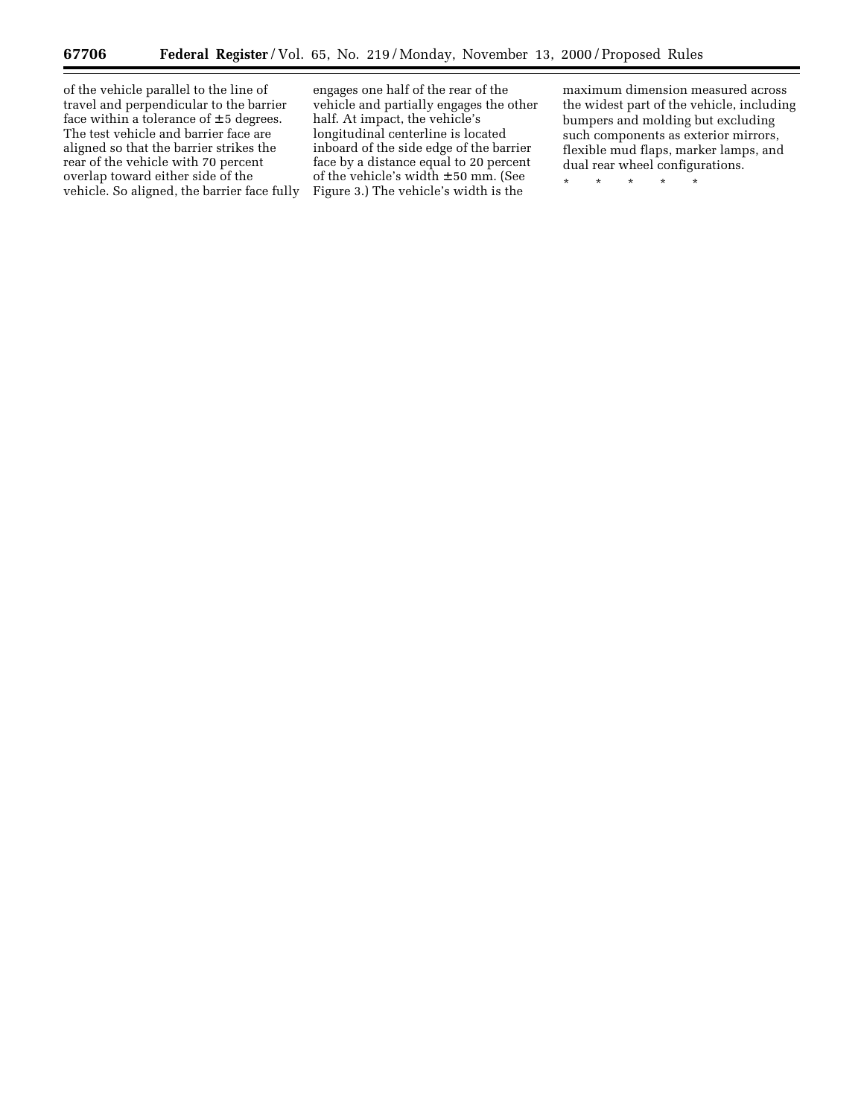▀

of the vehicle parallel to the line of travel and perpendicular to the barrier face within a tolerance of  $\pm$  5 degrees. The test vehicle and barrier face are aligned so that the barrier strikes the rear of the vehicle with 70 percent overlap toward either side of the vehicle. So aligned, the barrier face fully

engages one half of the rear of the vehicle and partially engages the other half. At impact, the vehicle's longitudinal centerline is located inboard of the side edge of the barrier face by a distance equal to 20 percent of the vehicle's width ± 50 mm. (See Figure 3.) The vehicle's width is the

maximum dimension measured across the widest part of the vehicle, including bumpers and molding but excluding such components as exterior mirrors, flexible mud flaps, marker lamps, and dual rear wheel configurations.

\* \* \* \* \*